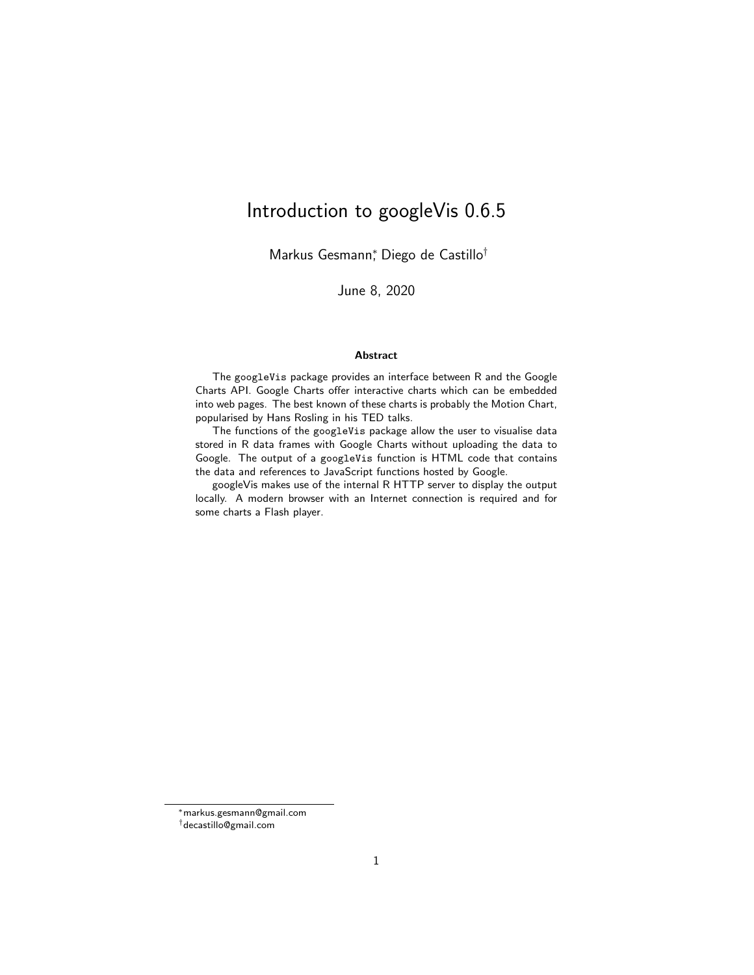# Introduction to googleVis 0.6.5

Markus Gesmann<sup>∗</sup> , Diego de Castillo†

June 8, 2020

#### Abstract

The googleVis package provides an interface between R and the Google Charts API. Google Charts offer interactive charts which can be embedded into web pages. The best known of these charts is probably the Motion Chart, popularised by Hans Rosling in his TED talks.

The functions of the googleVis package allow the user to visualise data stored in R data frames with Google Charts without uploading the data to Google. The output of a googleVis function is HTML code that contains the data and references to JavaScript functions hosted by Google.

googleVis makes use of the internal R HTTP server to display the output locally. A modern browser with an Internet connection is required and for some charts a Flash player.

<sup>∗</sup>markus.gesmann@gmail.com

<sup>†</sup>decastillo@gmail.com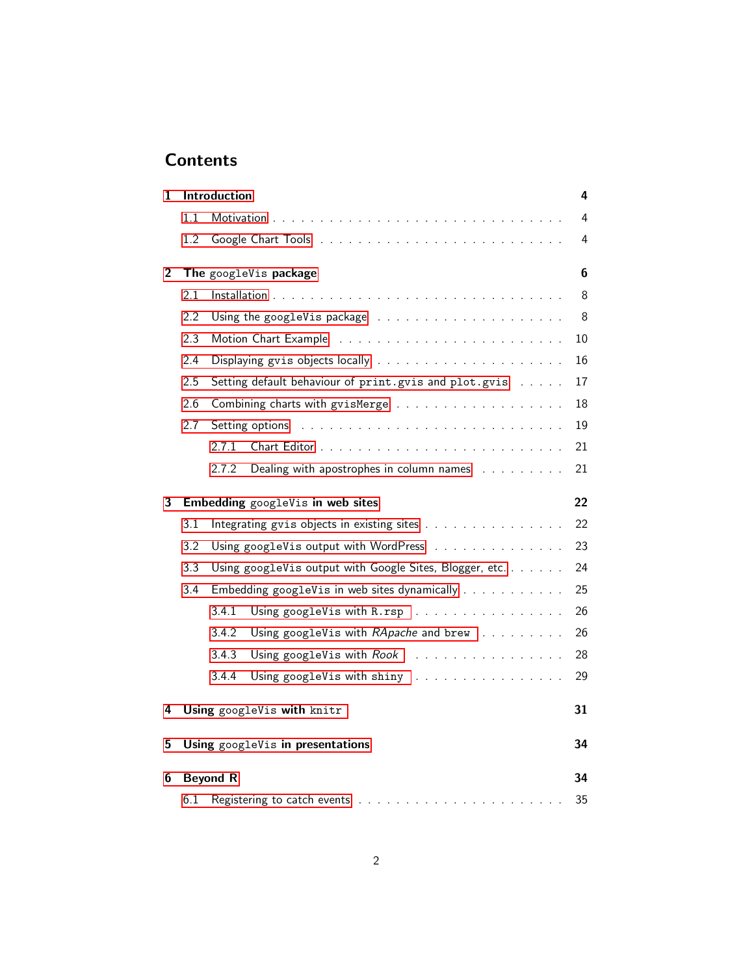# **Contents**

| 1              |     | Introduction    |                                                           |                |  |  |  |
|----------------|-----|-----------------|-----------------------------------------------------------|----------------|--|--|--|
|                | 1.1 |                 |                                                           | 4              |  |  |  |
|                | 1.2 |                 |                                                           | 4              |  |  |  |
| $\overline{2}$ |     |                 | The googleVis package                                     | $6\phantom{1}$ |  |  |  |
|                | 2.1 |                 |                                                           | 8              |  |  |  |
|                | 2.2 |                 |                                                           | 8              |  |  |  |
|                | 2.3 |                 |                                                           | 10             |  |  |  |
|                | 2.4 |                 |                                                           | 16             |  |  |  |
|                | 2.5 |                 | Setting default behaviour of print.gvis and plot.gvis     | 17             |  |  |  |
|                | 2.6 |                 |                                                           | 18             |  |  |  |
|                | 2.7 |                 | Setting options                                           | 19             |  |  |  |
|                |     | 2.7.1           |                                                           | 21             |  |  |  |
|                |     | 2.7.2           | Dealing with apostrophes in column names                  | 21             |  |  |  |
| 3              |     |                 | Embedding googleVis in web sites                          | 22             |  |  |  |
|                | 3.1 |                 | Integrating gvis objects in existing sites                | 22             |  |  |  |
|                | 3.2 |                 | Using googleVis output with WordPress                     | 23             |  |  |  |
|                | 3.3 |                 | Using googleVis output with Google Sites, Blogger, etc.   | 24             |  |  |  |
|                | 3.4 |                 | Embedding googleVis in web sites dynamically              | 25             |  |  |  |
|                |     | 3.4.1           | Using googleVis with R.rsp                                | 26             |  |  |  |
|                |     | 3.4.2           | Using googleVis with RApache and brew                     | 26             |  |  |  |
|                |     | 3.4.3           | Using googleVis with $Root \dots \dots \dots \dots \dots$ | 28             |  |  |  |
|                |     | 3.4.4           | Using googleVis with shiny                                | 29             |  |  |  |
| 4              |     |                 | Using googleVis with knitr                                | 31             |  |  |  |
| 5              |     |                 | Using googleVis in presentations                          | 34             |  |  |  |
| 6              |     | <b>Beyond R</b> |                                                           | 34             |  |  |  |
|                | 6.1 | 35              |                                                           |                |  |  |  |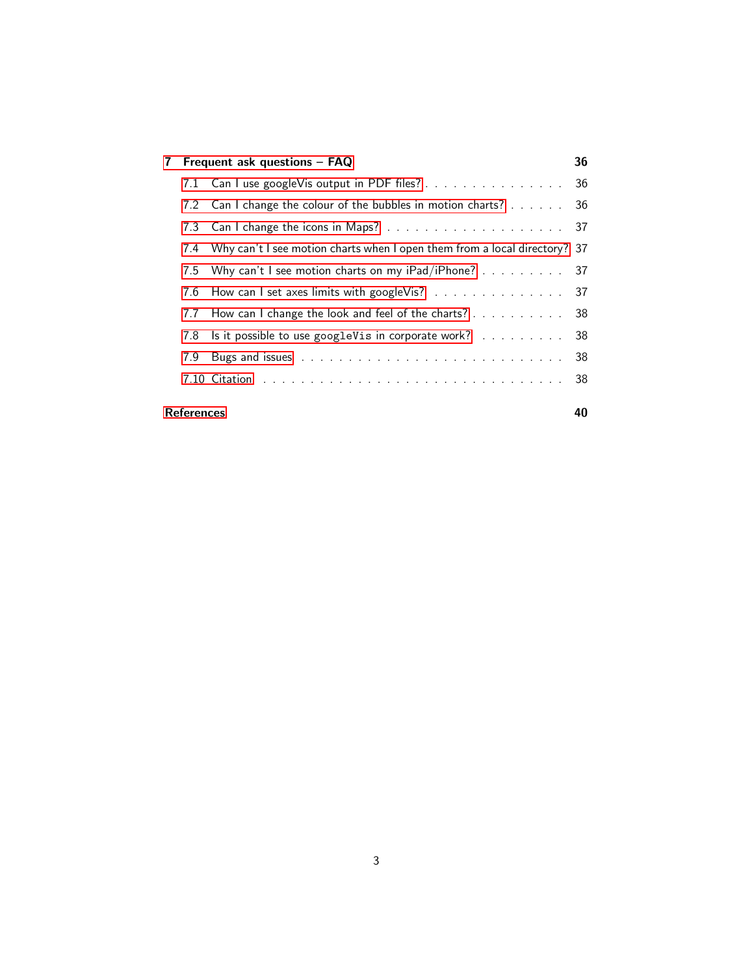| Frequent ask questions - FAQ<br>7 |                   |                                                                           |    |  |  |
|-----------------------------------|-------------------|---------------------------------------------------------------------------|----|--|--|
|                                   |                   | 7.1 Can I use googleVis output in PDF files? 36                           |    |  |  |
|                                   |                   | 7.2 Can I change the colour of the bubbles in motion charts? 36           |    |  |  |
|                                   |                   |                                                                           |    |  |  |
|                                   | 7.4               | Why can't I see motion charts when I open them from a local directory? 37 |    |  |  |
|                                   | 7.5               | Why can't I see motion charts on my iPad/iPhone? 37                       |    |  |  |
|                                   | 7.6               | How can I set axes limits with googleVis? 37                              |    |  |  |
|                                   | 7.7               | How can I change the look and feel of the charts? 38                      |    |  |  |
|                                   | 7.8               | Is it possible to use googleVis in corporate work? 38                     |    |  |  |
|                                   | 7.9               |                                                                           | 38 |  |  |
|                                   |                   |                                                                           | 38 |  |  |
|                                   | <b>References</b> |                                                                           | 40 |  |  |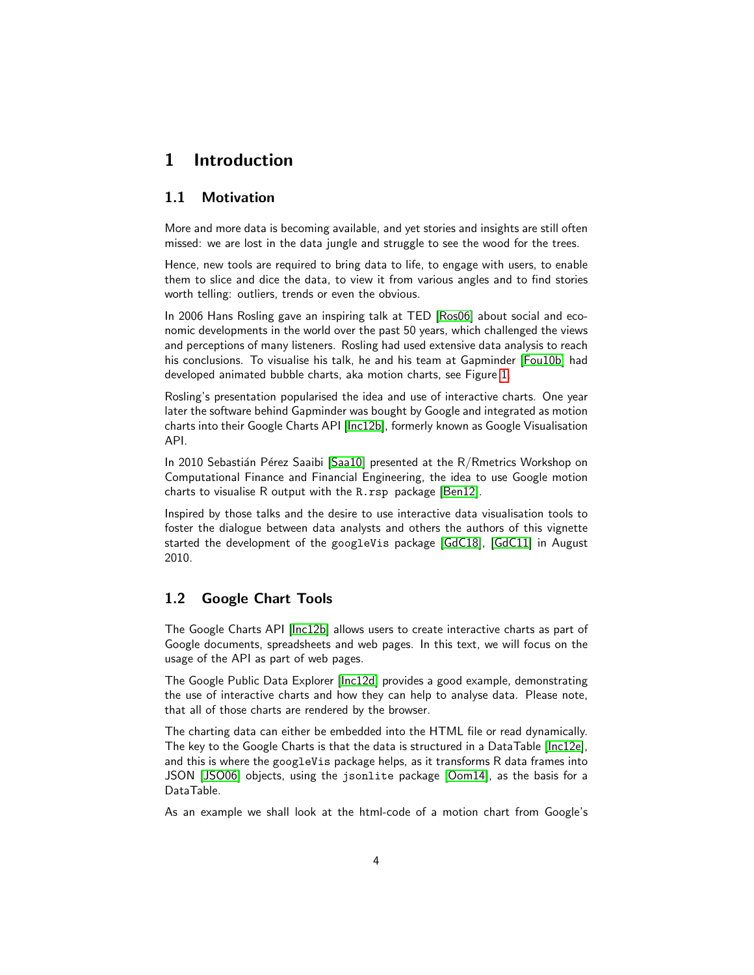## <span id="page-3-0"></span>1 Introduction

### <span id="page-3-1"></span>1.1 Motivation

More and more data is becoming available, and yet stories and insights are still often missed: we are lost in the data jungle and struggle to see the wood for the trees.

Hence, new tools are required to bring data to life, to engage with users, to enable them to slice and dice the data, to view it from various angles and to find stories worth telling: outliers, trends or even the obvious.

In 2006 Hans Rosling gave an inspiring talk at TED [\[Ros06\]](#page-38-0) about social and economic developments in the world over the past 50 years, which challenged the views and perceptions of many listeners. Rosling had used extensive data analysis to reach his conclusions. To visualise his talk, he and his team at Gapminder [\[Fou10b\]](#page-38-1) had developed animated bubble charts, aka motion charts, see Figure [1.](#page-4-0)

Rosling's presentation popularised the idea and use of interactive charts. One year later the software behind Gapminder was bought by Google and integrated as motion charts into their Google Charts API [\[Inc12b\]](#page-38-2), formerly known as Google Visualisation API.

In 2010 Sebastián Pérez Saaibi [\[Saa10\]](#page-39-0) presented at the R/Rmetrics Workshop on Computational Finance and Financial Engineering, the idea to use Google motion charts to visualise R output with the R.rsp package [\[Ben12\]](#page-37-5).

Inspired by those talks and the desire to use interactive data visualisation tools to foster the dialogue between data analysts and others the authors of this vignette started the development of the googleVis package [\[GdC18\]](#page-38-3), [\[GdC11\]](#page-38-4) in August 2010.

### <span id="page-3-2"></span>1.2 Google Chart Tools

The Google Charts API [\[Inc12b\]](#page-38-2) allows users to create interactive charts as part of Google documents, spreadsheets and web pages. In this text, we will focus on the usage of the API as part of web pages.

The Google Public Data Explorer [\[Inc12d\]](#page-38-5) provides a good example, demonstrating the use of interactive charts and how they can help to analyse data. Please note, that all of those charts are rendered by the browser.

The charting data can either be embedded into the HTML file or read dynamically. The key to the Google Charts is that the data is structured in a DataTable [\[Inc12e\]](#page-38-6), and this is where the googleVis package helps, as it transforms R data frames into JSON [\[JSO06\]](#page-38-7) objects, using the jsonlite package [\[Oom14\]](#page-38-8), as the basis for a DataTable.

As an example we shall look at the html-code of a motion chart from Google's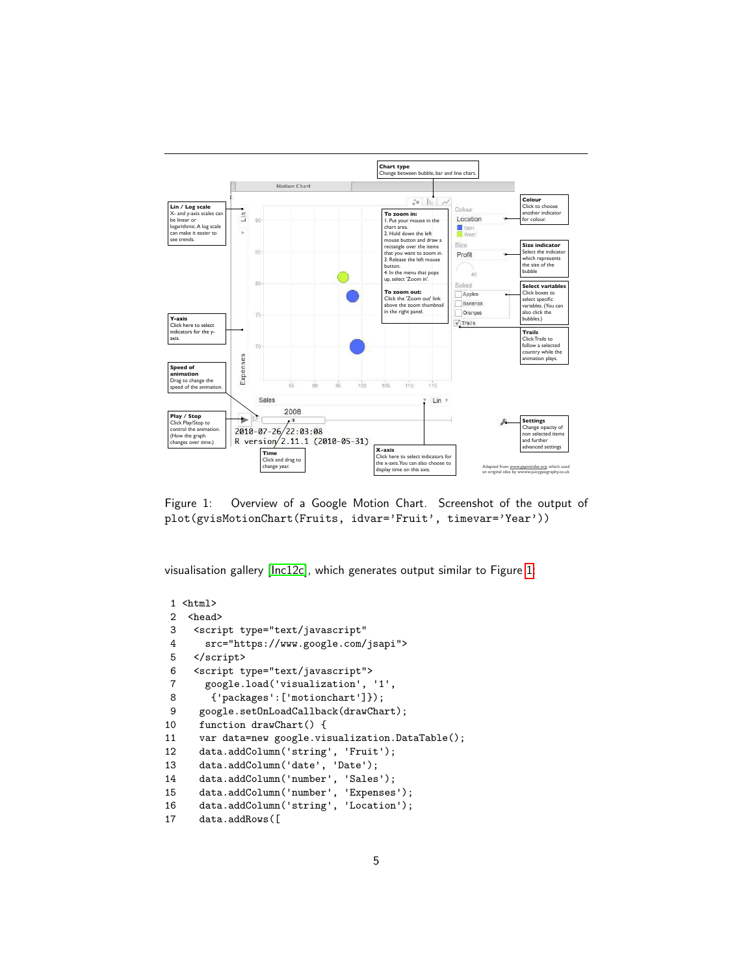

<span id="page-4-0"></span>Figure 1: Overview of a Google Motion Chart. Screenshot of the output of plot(gvisMotionChart(Fruits, idvar='Fruit', timevar='Year'))

visualisation gallery [\[Inc12c\]](#page-38-9), which generates output similar to Figure [1:](#page-4-0)

```
1 <html>
2 <head>
3 <script type="text/javascript"
4 src="https://www.google.com/jsapi">
5 </script>
6 <script type="text/javascript">
      google.load('visualization', '1',
8 {'packages':['motionchart']});
9 google.setOnLoadCallback(drawChart);
10 function drawChart() {
11 var data=new google.visualization.DataTable();
12 data.addColumn('string', 'Fruit');
13 data.addColumn('date', 'Date');
14 data.addColumn('number', 'Sales');
15 data.addColumn('number', 'Expenses');
16 data.addColumn('string', 'Location');
17 data.addRows([
```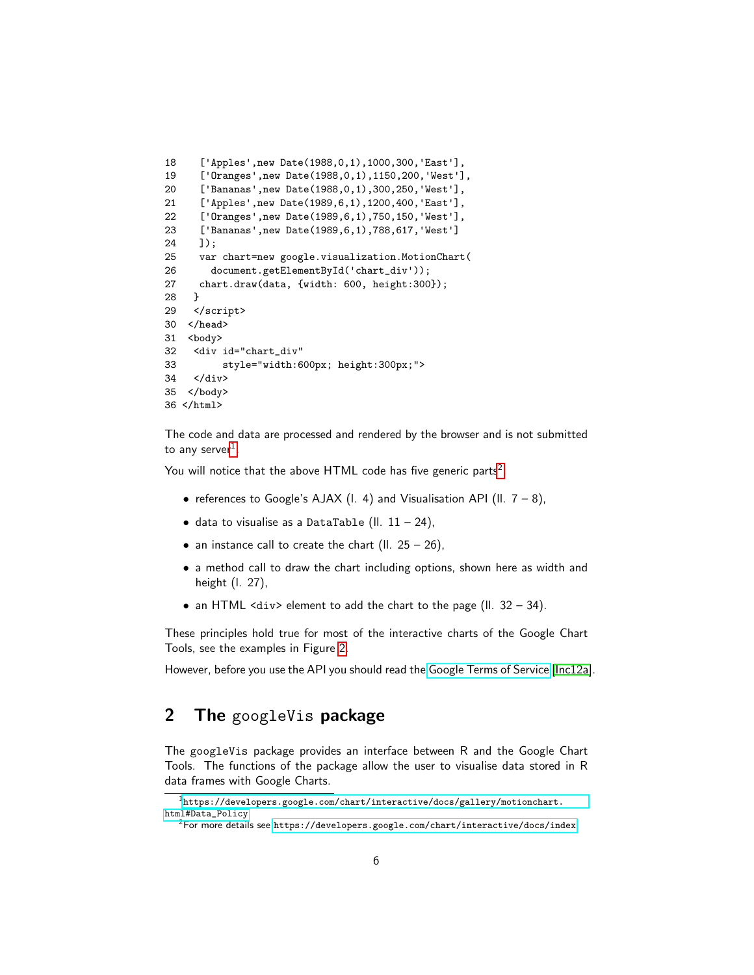```
18 ['Apples',new Date(1988,0,1),1000,300,'East'],
19 ['Oranges',new Date(1988,0,1),1150,200,'West'],
20 ['Bananas',new Date(1988,0,1),300,250,'West'],
21 ['Apples',new Date(1989,6,1),1200,400,'East'],
22 ['Oranges',new Date(1989,6,1),750,150,'West'],
23 ['Bananas',new Date(1989,6,1),788,617,'West']
24 ]);
25 var chart=new google.visualization.MotionChart(
26 document.getElementById('chart_div'));
27 chart.draw(data, {width: 600, height:300});
28 }
29 </script>
30 </head>
31 <br/>body>
32 <div id="chart_div"
33 style="width:600px; height:300px;">
34 </div>
35 </body>
36 </html>
```
The code and data are processed and rendered by the browser and is not submitted to any server $^1$  $^1$ .

You will notice that the above HTML code has five generic parts $^2$  $^2$ :

- references to Google's AJAX (I. 4) and Visualisation API (II.  $7 8$ ),
- data to visualise as a DataTable (II.  $11 24$ ),
- an instance call to create the chart (II.  $25 26$ ),
- a method call to draw the chart including options, shown here as width and height (l. 27),
- an HTML  $\langle \text{div} \rangle$  element to add the chart to the page (II. 32 34).

These principles hold true for most of the interactive charts of the Google Chart Tools, see the examples in Figure [2.](#page-6-0)

However, before you use the API you should read the [Google Terms of Service](https://developers.google.com/terms/) [\[Inc12a\]](#page-38-10).

# <span id="page-5-0"></span>2 The googleVis package

The googleVis package provides an interface between R and the Google Chart Tools. The functions of the package allow the user to visualise data stored in R data frames with Google Charts.

<span id="page-5-1"></span><sup>1</sup>[https://developers.google.com/chart/interactive/docs/gallery/motionchart.](https://developers.google.com/chart/interactive/docs/gallery/motionchart.html#Data_Policy) [html#Data\\_Policy](https://developers.google.com/chart/interactive/docs/gallery/motionchart.html#Data_Policy)

<span id="page-5-2"></span> $^2$ For more details see <https://developers.google.com/chart/interactive/docs/index>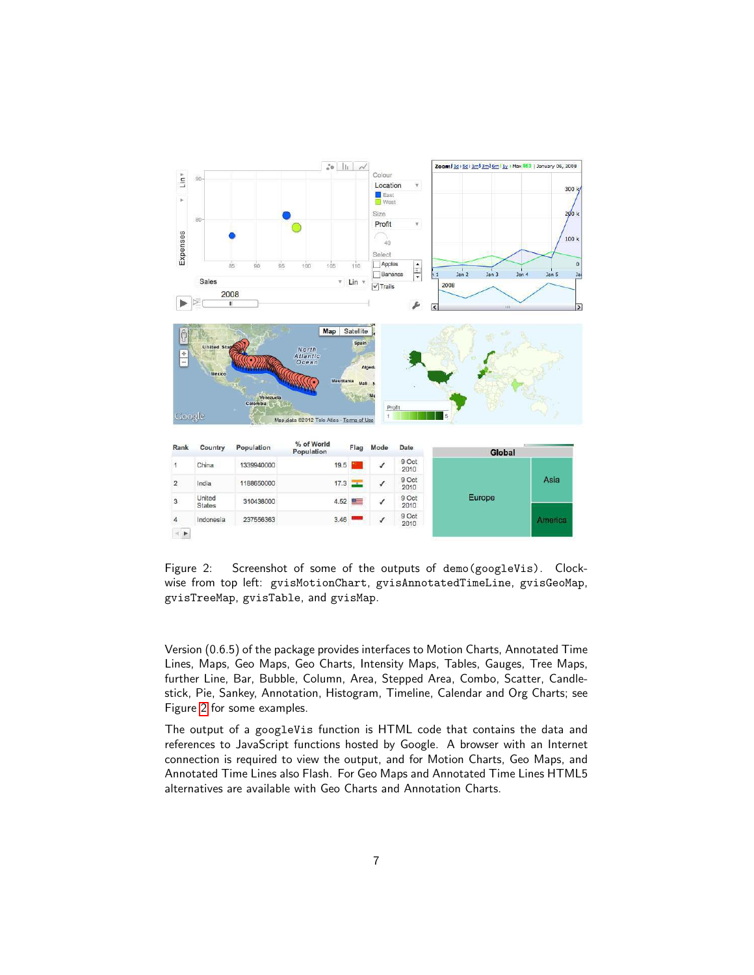

<span id="page-6-0"></span>Figure 2: Screenshot of some of the outputs of demo(googleVis). Clockwise from top left: gvisMotionChart, gvisAnnotatedTimeLine, gvisGeoMap, gvisTreeMap, gvisTable, and gvisMap.

Version (0.6.5) of the package provides interfaces to Motion Charts, Annotated Time Lines, Maps, Geo Maps, Geo Charts, Intensity Maps, Tables, Gauges, Tree Maps, further Line, Bar, Bubble, Column, Area, Stepped Area, Combo, Scatter, Candlestick, Pie, Sankey, Annotation, Histogram, Timeline, Calendar and Org Charts; see Figure [2](#page-6-0) for some examples.

The output of a googleVis function is HTML code that contains the data and references to JavaScript functions hosted by Google. A browser with an Internet connection is required to view the output, and for Motion Charts, Geo Maps, and Annotated Time Lines also Flash. For Geo Maps and Annotated Time Lines HTML5 alternatives are available with Geo Charts and Annotation Charts.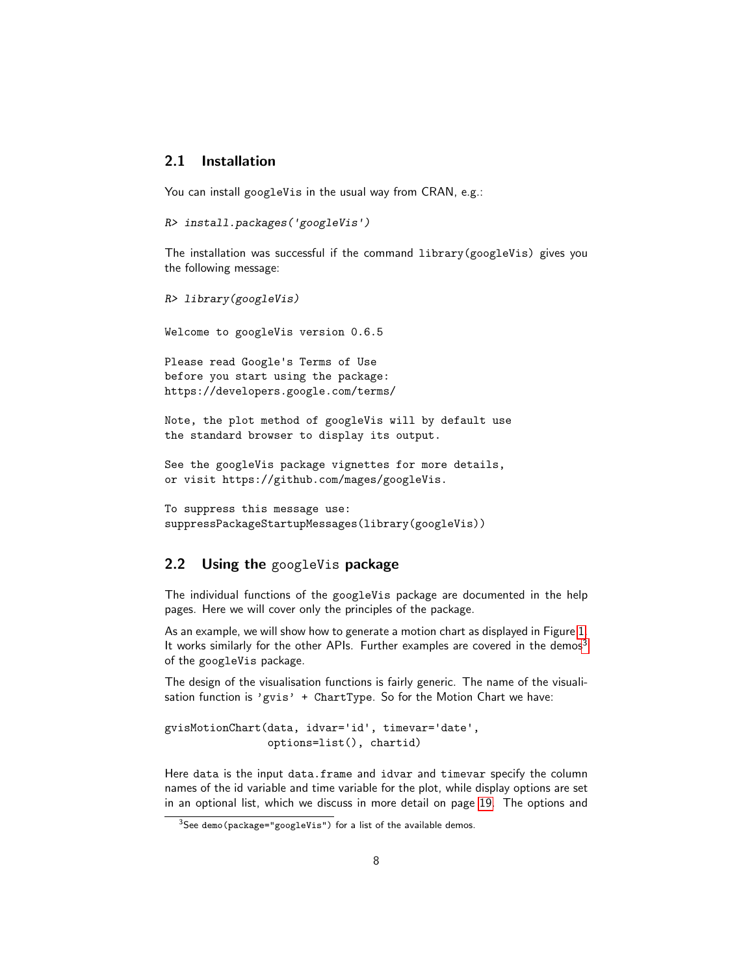### <span id="page-7-0"></span>2.1 Installation

You can install googleVis in the usual way from CRAN, e.g.:

```
R> install.packages('googleVis')
```
The installation was successful if the command library(googleVis) gives you the following message:

```
R> library(googleVis)
```
Welcome to googleVis version 0.6.5

Please read Google's Terms of Use before you start using the package: https://developers.google.com/terms/

Note, the plot method of googleVis will by default use the standard browser to display its output.

```
See the googleVis package vignettes for more details,
or visit https://github.com/mages/googleVis.
```

```
To suppress this message use:
suppressPackageStartupMessages(library(googleVis))
```
### <span id="page-7-1"></span>2.2 Using the googleVis package

The individual functions of the googleVis package are documented in the help pages. Here we will cover only the principles of the package.

As an example, we will show how to generate a motion chart as displayed in Figure [1.](#page-4-0) It works similarly for the other APIs. Further examples are covered in the demos<sup>[3](#page-7-2)</sup> of the googleVis package.

The design of the visualisation functions is fairly generic. The name of the visualisation function is 'gvis' + ChartType. So for the Motion Chart we have:

```
gvisMotionChart(data, idvar='id', timevar='date',
                options=list(), chartid)
```
Here data is the input data.frame and idvar and timevar specify the column names of the id variable and time variable for the plot, while display options are set in an optional list, which we discuss in more detail on page [19.](#page-18-0) The options and

<span id="page-7-2"></span><sup>&</sup>lt;sup>3</sup>See demo(package="googleVis") for a list of the available demos.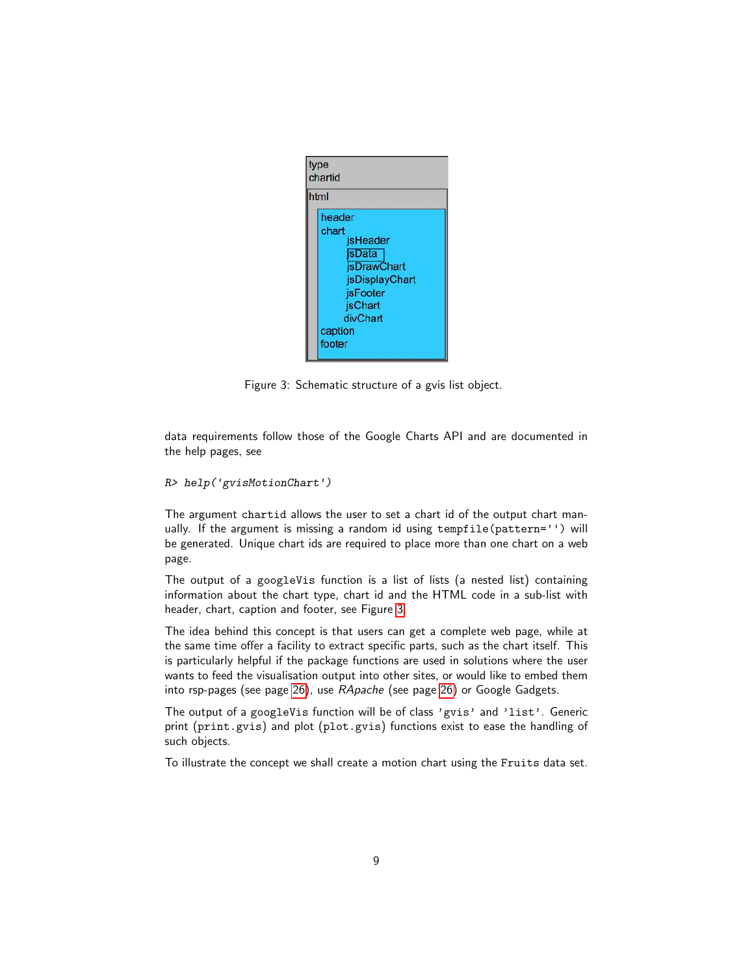

Figure 3: Schematic structure of a gvis list object.

<span id="page-8-0"></span>data requirements follow those of the Google Charts API and are documented in the help pages, see

```
R> help('gvisMotionChart')
```
The argument chartid allows the user to set a chart id of the output chart manually. If the argument is missing a random id using tempfile(pattern='') will be generated. Unique chart ids are required to place more than one chart on a web page.

The output of a googleVis function is a list of lists (a nested list) containing information about the chart type, chart id and the HTML code in a sub-list with header, chart, caption and footer, see Figure [3.](#page-8-0)

The idea behind this concept is that users can get a complete web page, while at the same time offer a facility to extract specific parts, such as the chart itself. This is particularly helpful if the package functions are used in solutions where the user wants to feed the visualisation output into other sites, or would like to embed them into rsp-pages (see page [26\)](#page-25-0), use *RApache* (see page [26\)](#page-25-1) or Google Gadgets.

The output of a googleVis function will be of class 'gvis' and 'list'. Generic print (print.gvis) and plot (plot.gvis) functions exist to ease the handling of such objects.

To illustrate the concept we shall create a motion chart using the Fruits data set.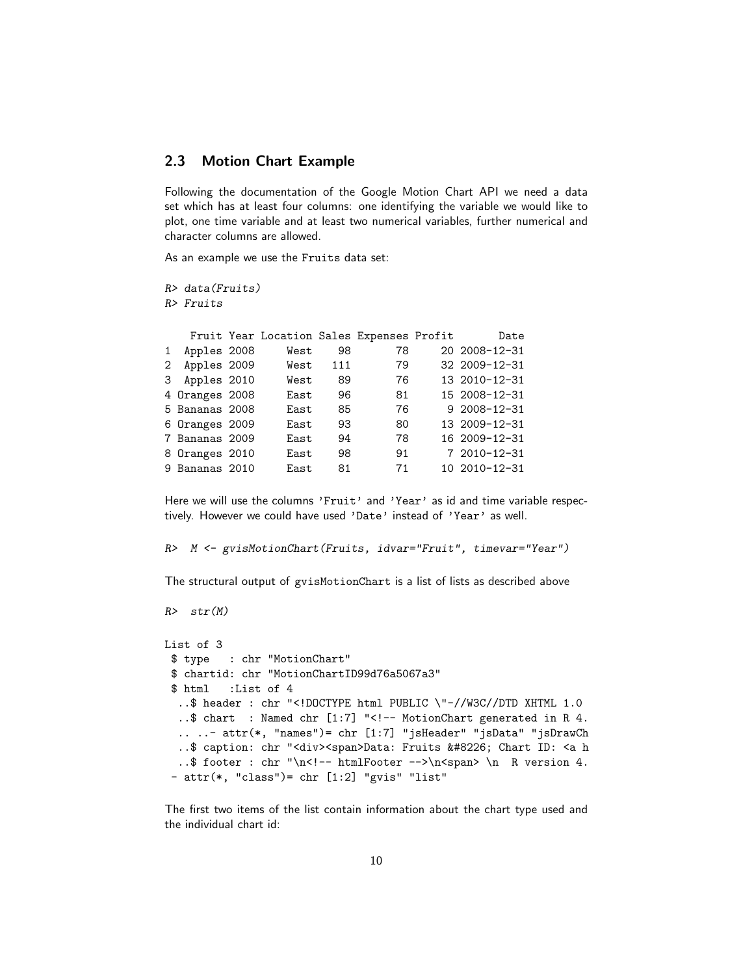### <span id="page-9-0"></span>2.3 Motion Chart Example

Following the documentation of the Google Motion Chart API we need a data set which has at least four columns: one identifying the variable we would like to plot, one time variable and at least two numerical variables, further numerical and character columns are allowed.

As an example we use the Fruits data set:

*R> data(Fruits) R> Fruits*

|              |                | Fruit Year Location Sales Expenses Profit |     |    | Date          |
|--------------|----------------|-------------------------------------------|-----|----|---------------|
| $\mathbf{1}$ | Apples 2008    | West                                      | 98  | 78 | 20 2008-12-31 |
| $\mathbf{2}$ | Apples 2009    | West                                      | 111 | 79 | 32 2009-12-31 |
|              | 3 Apples 2010  | West                                      | 89  | 76 | 13 2010-12-31 |
|              | 4 Oranges 2008 | East                                      | 96  | 81 | 15 2008-12-31 |
|              | 5 Bananas 2008 | East                                      | 85  | 76 | 9 2008-12-31  |
|              | 6 Oranges 2009 | East                                      | 93  | 80 | 13 2009-12-31 |
|              | 7 Bananas 2009 | East                                      | 94  | 78 | 16 2009-12-31 |
|              | 8 Oranges 2010 | East                                      | 98  | 91 | 7 2010-12-31  |
|              | 9 Bananas 2010 | East                                      | 81  | 71 | 10 2010-12-31 |
|              |                |                                           |     |    |               |

Here we will use the columns 'Fruit' and 'Year' as id and time variable respectively. However we could have used 'Date' instead of 'Year' as well.

*R> M <- gvisMotionChart(Fruits, idvar="Fruit", timevar="Year")*

The structural output of gvisMotionChart is a list of lists as described above

```
R> str(M)
```

```
List of 3
$ type : chr "MotionChart"
 $ chartid: chr "MotionChartID99d76a5067a3"
 $ html :List of 4
  ..$ header : chr "<!DOCTYPE html PUBLIC \"-//W3C//DTD XHTML 1.0
  ..$ chart : Named chr [1:7] "<!-- MotionChart generated in R 4.
  .. ..- attr(*, "names")= chr [1:7] "jsHeader" "jsData" "jsDrawCh
  ..$ caption: chr "<div><span>Data: Fruits &#8226; Chart ID: <a h
  ..$ footer : chr "\n<!-- htmlFooter -->\n<span> \n R version 4.
 - attr(*, "class")= chr [1:2] "gvis" "list"
```
The first two items of the list contain information about the chart type used and the individual chart id: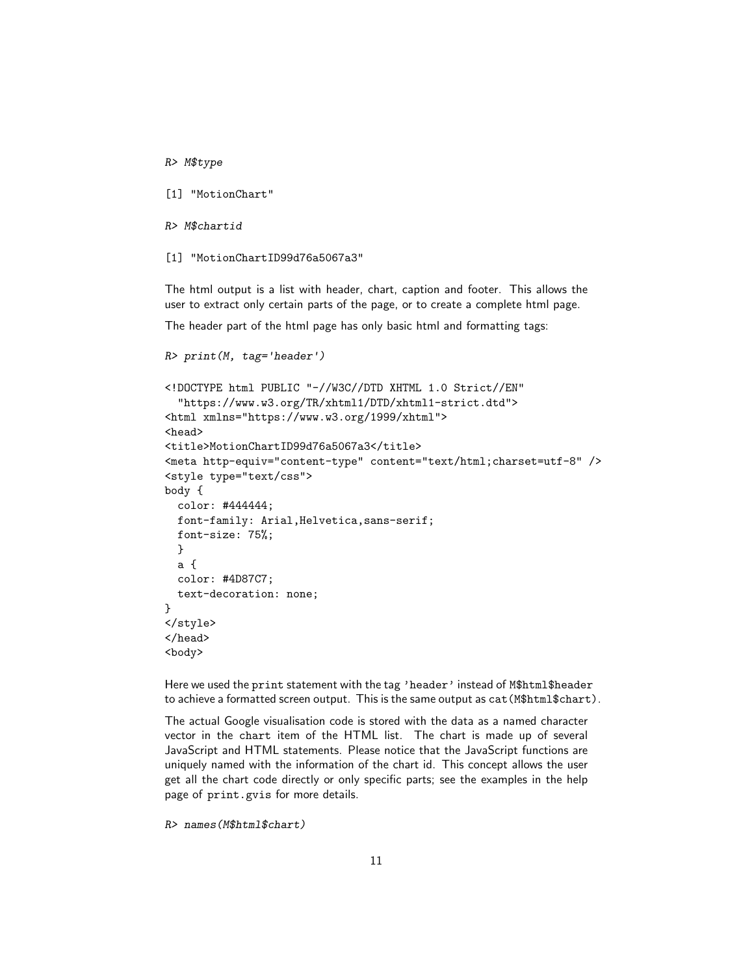*R> M\$type*

[1] "MotionChart"

*R> M\$chartid*

[1] "MotionChartID99d76a5067a3"

*R> print(M, tag=*'*header*'*)*

The html output is a list with header, chart, caption and footer. This allows the user to extract only certain parts of the page, or to create a complete html page.

The header part of the html page has only basic html and formatting tags:

```
<!DOCTYPE html PUBLIC "-//W3C//DTD XHTML 1.0 Strict//EN"
  "https://www.w3.org/TR/xhtml1/DTD/xhtml1-strict.dtd">
<html xmlns="https://www.w3.org/1999/xhtml">
<head>
<title>MotionChartID99d76a5067a3</title>
<meta http-equiv="content-type" content="text/html;charset=utf-8" />
<style type="text/css">
body {
  color: #444444;
 font-family: Arial,Helvetica,sans-serif;
 font-size: 75%;
 }
 a {
  color: #4D87C7;
 text-decoration: none;
}
</style>
</head>
<body>
```
Here we used the print statement with the tag 'header' instead of M\$html\$header to achieve a formatted screen output. This is the same output as cat(M\$html\$chart).

The actual Google visualisation code is stored with the data as a named character vector in the chart item of the HTML list. The chart is made up of several JavaScript and HTML statements. Please notice that the JavaScript functions are uniquely named with the information of the chart id. This concept allows the user get all the chart code directly or only specific parts; see the examples in the help page of print.gvis for more details.

```
R> names(M$html$chart)
```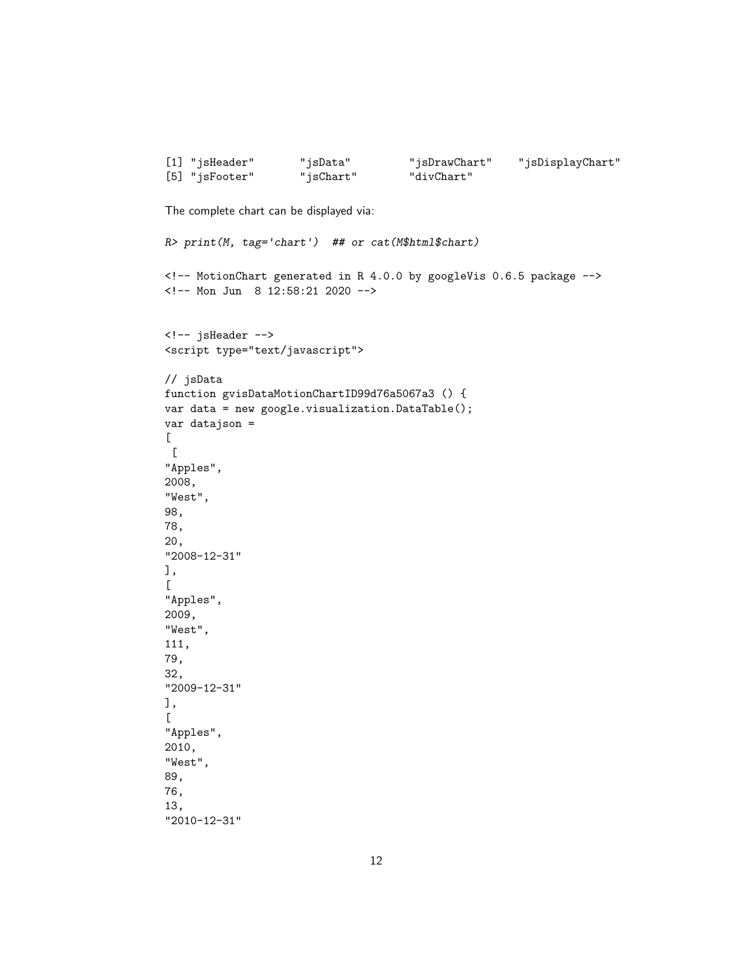```
[1] "jsHeader" "jsData" "jsDrawChart" "jsDisplayChart"
[5] "jsFooter" "jsChart" "divChart"
The complete chart can be displayed via:
R> print(M, tag='chart') ## or cat(M$html$chart)
<!-- MotionChart generated in R 4.0.0 by googleVis 0.6.5 package -->
<!-- Mon Jun 8 12:58:21 2020 -->
<!-- jsHeader -->
<script type="text/javascript">
// jsData
function gvisDataMotionChartID99d76a5067a3 () {
var data = new google.visualization.DataTable();
var datajson =
\Gamma\Gamma"Apples",
2008,
"West",
98,
78,
20,
"2008-12-31"
],
\Gamma"Apples",
2009,
"West",
111,
79,
32,
"2009-12-31"
],
\Gamma"Apples",
2010,
"West",
89,
76,
13,
"2010-12-31"
```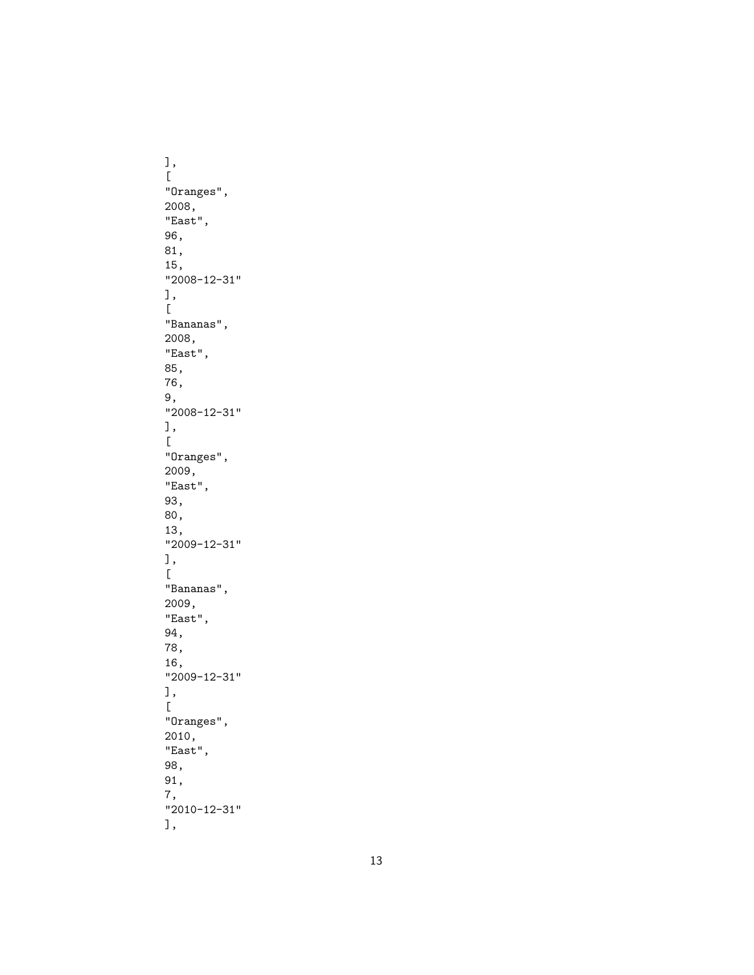],[ "Oranges", 2008, "East", 96, 81, 15, "2008-12-31"<br>],  $\lbrack$ "Bananas", 2008, "East", 85, 76, 9, "2008-12-31" ],[ "Oranges", 2009, "East", 93, 80, 13, "2009-12-31" ],[ "Bananas", 2009, "East", 94, 78, 16, "2009-12-31"<br>],  $\Gamma$ "Oranges", 2010, "East", 98, 91, 7, "2010-12-31" ],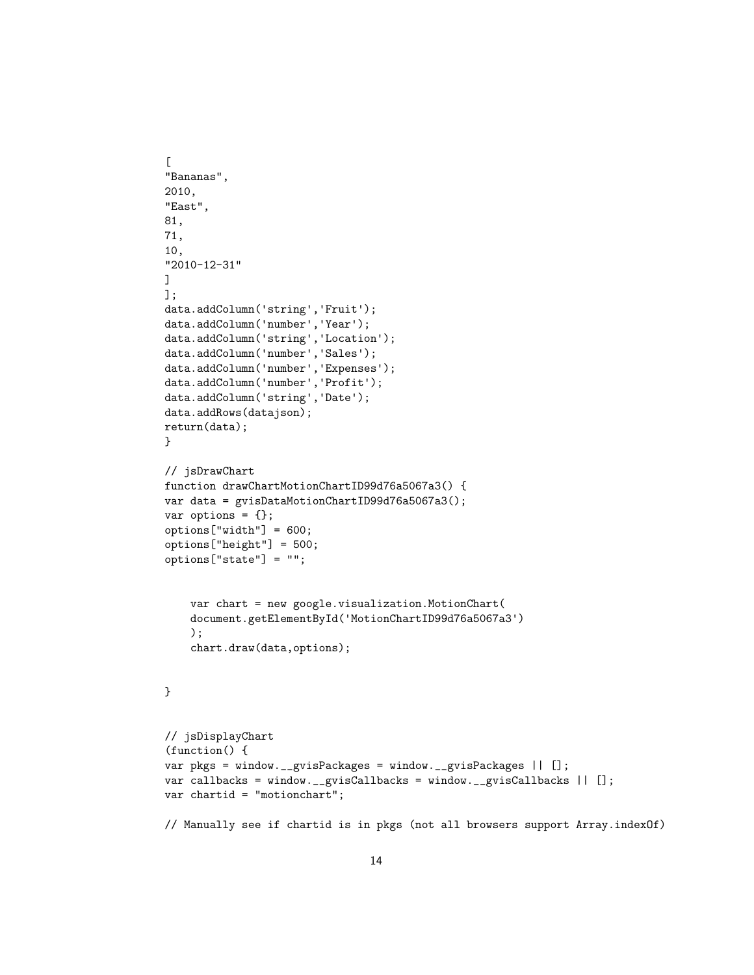```
\Gamma"Bananas",
2010,
"East",
81,
71,
10,
"2010-12-31"
]
];
data.addColumn('string','Fruit');
data.addColumn('number','Year');
data.addColumn('string','Location');
data.addColumn('number','Sales');
data.addColumn('number','Expenses');
data.addColumn('number','Profit');
data.addColumn('string','Date');
data.addRows(datajson);
return(data);
}
// jsDrawChart
function drawChartMotionChartID99d76a5067a3() {
var data = gvisDataMotionChartID99d76a5067a3();
var options = \{\};
options["width"] = 600;
options["height"] = 500;
options["state"] = "";
    var chart = new google.visualization.MotionChart(
    document.getElementById('MotionChartID99d76a5067a3')
    );
    chart.draw(data,options);
}
// jsDisplayChart
(function() {
var pkgs = window.__gvisPackages = window.__gvisPackages || [];
var callbacks = window.__gvisCallbacks = window.__gvisCallbacks || [];
var chartid = "motionchart";
// Manually see if chartid is in pkgs (not all browsers support Array.indexOf)
```
14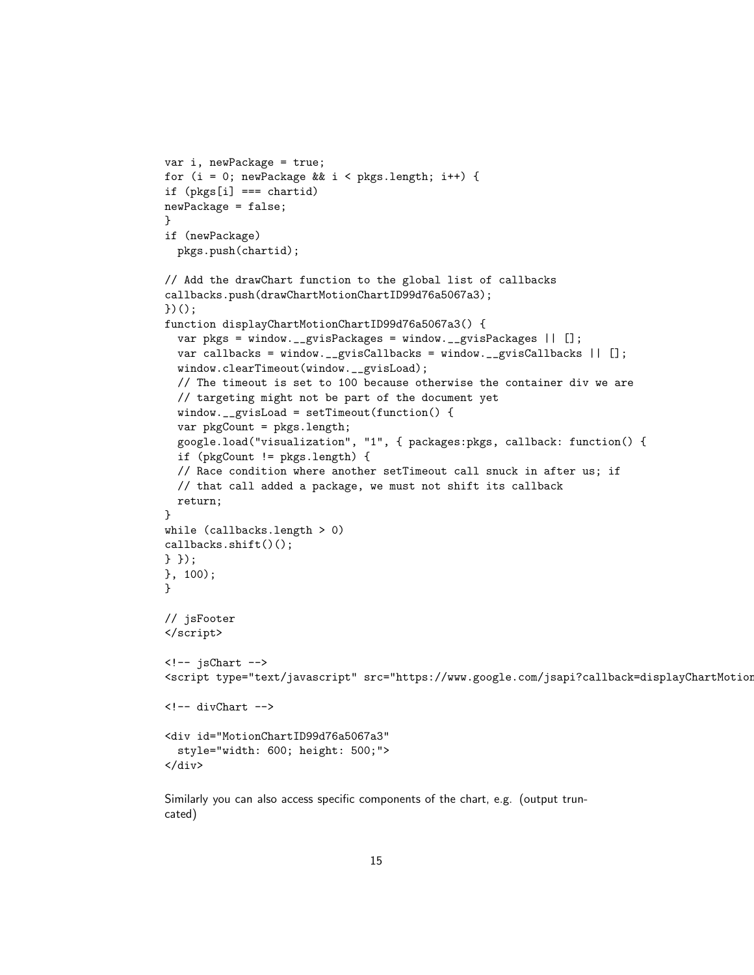```
var i, newPackage = true;
for (i = 0; newPackage && i < pkgs.length; i++) {
if (pkgs[i] === chartid)
newPackage = false;
}
if (newPackage)
 pkgs.push(chartid);
// Add the drawChart function to the global list of callbacks
callbacks.push(drawChartMotionChartID99d76a5067a3);
)();
function displayChartMotionChartID99d76a5067a3() {
 var pkgs = window.__gvisPackages = window.__gvisPackages || [];
 var callbacks = window.__gvisCallbacks = window.__gvisCallbacks || [];
 window.clearTimeout(window.__gvisLoad);
 // The timeout is set to 100 because otherwise the container div we are
 // targeting might not be part of the document yet
 window.__gvisLoad = setTimeout(function() {
 var pkgCount = pkgs.length;
 google.load("visualization", "1", { packages:pkgs, callback: function() {
 if (pkgCount != pkgs.length) {
 // Race condition where another setTimeout call snuck in after us; if
 // that call added a package, we must not shift its callback
 return;
}
while (callbacks.length > 0)callbacks.shift()();
} });
}, 100);
}
// jsFooter
</script>
\leftarrow -- jsChart -->
<script type="text/javascript" src="https://www.google.com/jsapi?callback=displayChartMotion
\langle!-- divChart -->
<div id="MotionChartID99d76a5067a3"
  style="width: 600; height: 500;">
\langlediv>
```
Similarly you can also access specific components of the chart, e.g. (output truncated)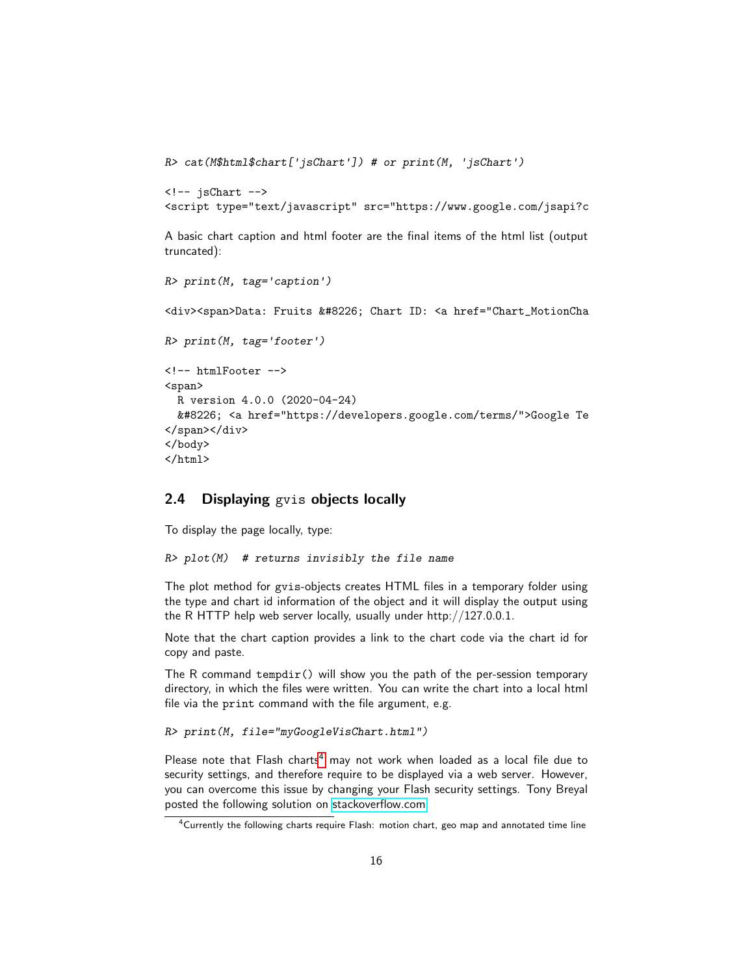```
R> cat(M$html$chart['jsChart']) # or print(M, 'jsChart')
```

```
\langle!-- isChart -->
<script type="text/javascript" src="https://www.google.com/jsapi?c
```
A basic chart caption and html footer are the final items of the html list (output truncated):

```
R> print(M, tag='caption')
<div><span>Data: Fruits &#8226; Chart ID: <a href="Chart_MotionCha
R> print(M, tag='footer')
<!-- htmlFooter -->
<span>
 R version 4.0.0 (2020-04-24)
  &#8226; <a href="https://developers.google.com/terms/">Google Te
</span></div>
</body>
</html>
```
### <span id="page-15-0"></span>2.4 Displaying gvis objects locally

To display the page locally, type:

```
R> plot(M) # returns invisibly the file name
```
The plot method for gvis-objects creates HTML files in a temporary folder using the type and chart id information of the object and it will display the output using the R HTTP help web server locally, usually under http://127.0.0.1.

Note that the chart caption provides a link to the chart code via the chart id for copy and paste.

The R command tempdir() will show you the path of the per-session temporary directory, in which the files were written. You can write the chart into a local html file via the print command with the file argument, e.g.

```
R> print(M, file="myGoogleVisChart.html")
```
Please note that Flash charts<sup>[4](#page-15-1)</sup> may not work when loaded as a local file due to security settings, and therefore require to be displayed via a web server. However, you can overcome this issue by changing your Flash security settings. Tony Breyal posted the following solution on [stackoverflow.com:](https://stackoverflow.com/questions/8009825/cannot-view-gvismotionchart-from-printed-html-file )

<span id="page-15-1"></span><sup>&</sup>lt;sup>4</sup>Currently the following charts require Flash: motion chart, geo map and annotated time line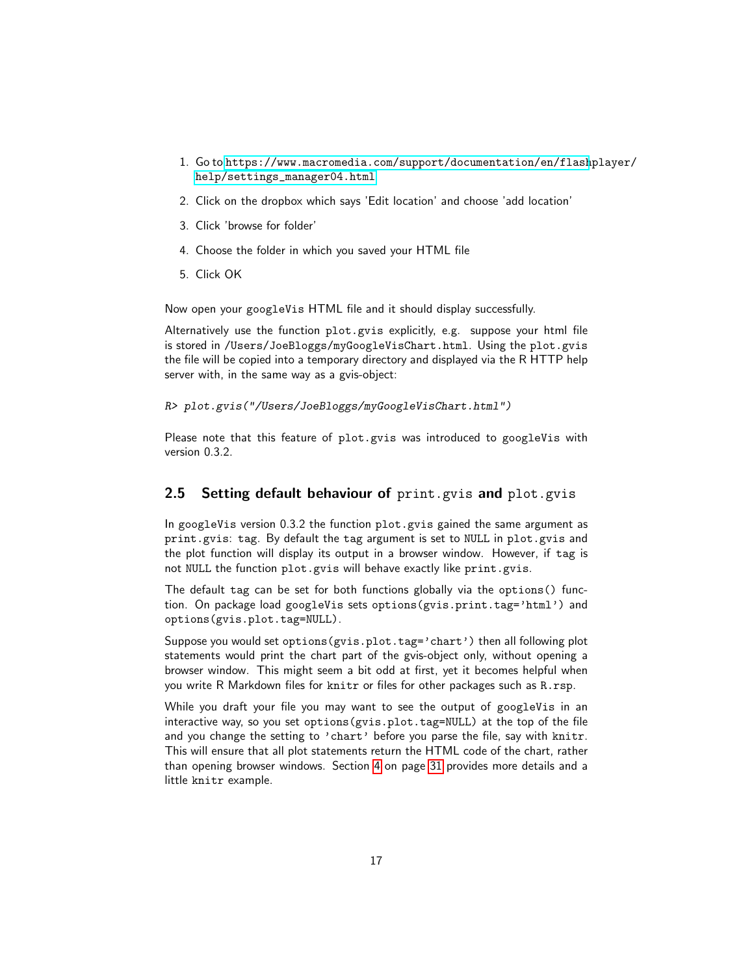- 1. Go to [https://www.macromedia.com/support/documentation/en/flash](https://www.macromedia.com/support/documentation/en/flashplayer/help/settings_manager04.html)player/ [help/settings\\_manager04.html](https://www.macromedia.com/support/documentation/en/flashplayer/help/settings_manager04.html)
- 2. Click on the dropbox which says 'Edit location' and choose 'add location'
- 3. Click 'browse for folder'
- 4. Choose the folder in which you saved your HTML file
- 5. Click OK

Now open your googleVis HTML file and it should display successfully.

Alternatively use the function plot.gvis explicitly, e.g. suppose your html file is stored in /Users/JoeBloggs/myGoogleVisChart.html. Using the plot.gvis the file will be copied into a temporary directory and displayed via the R HTTP help server with, in the same way as a gvis-object:

*R> plot.gvis("/Users/JoeBloggs/myGoogleVisChart.html")*

Please note that this feature of plot.gvis was introduced to googleVis with version 0.3.2.

### <span id="page-16-0"></span>2.5 Setting default behaviour of print.gvis and plot.gvis

In googleVis version 0.3.2 the function plot.gvis gained the same argument as print.gvis: tag. By default the tag argument is set to NULL in plot.gvis and the plot function will display its output in a browser window. However, if tag is not NULL the function plot.gvis will behave exactly like print.gvis.

The default tag can be set for both functions globally via the options() function. On package load googleVis sets options(gvis.print.tag='html') and options(gvis.plot.tag=NULL).

Suppose you would set options(gvis.plot.tag='chart') then all following plot statements would print the chart part of the gvis-object only, without opening a browser window. This might seem a bit odd at first, yet it becomes helpful when you write R Markdown files for knitr or files for other packages such as R.rsp.

While you draft your file you may want to see the output of googleVis in an interactive way, so you set options(gvis.plot.tag=NULL) at the top of the file and you change the setting to 'chart' before you parse the file, say with knitr. This will ensure that all plot statements return the HTML code of the chart, rather than opening browser windows. Section [4](#page-30-0) on page [31](#page-30-0) provides more details and a little knitr example.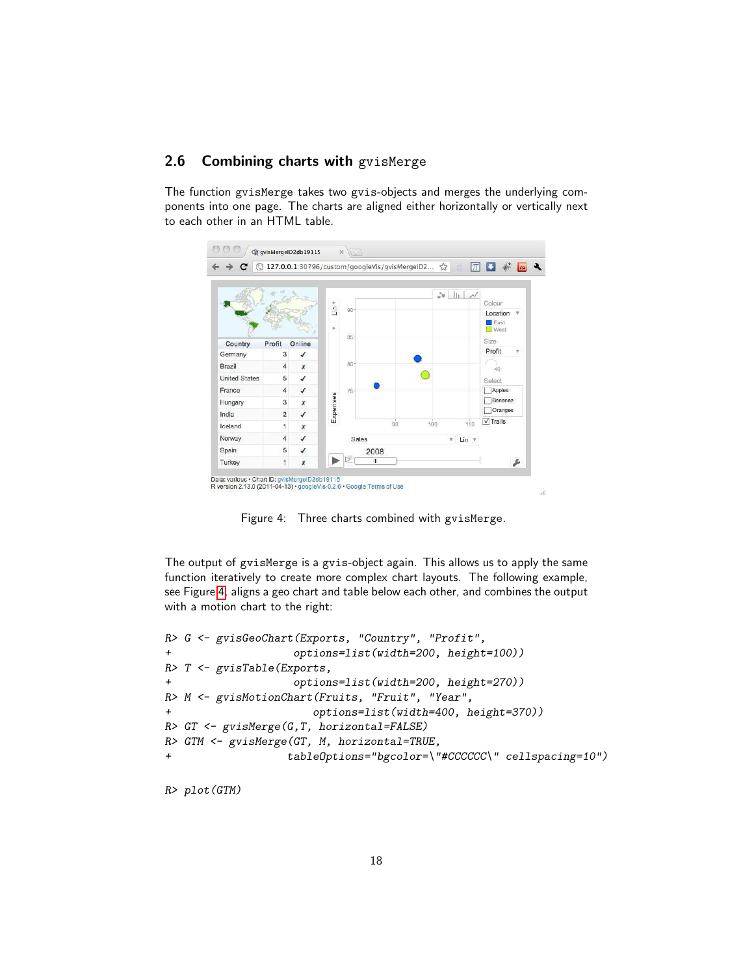### <span id="page-17-0"></span>2.6 Combining charts with gvisMerge

The function gvisMerge takes two gvis-objects and merges the underlying components into one page. The charts are aligned either horizontally or vertically next to each other in an HTML table.



<span id="page-17-1"></span>Figure 4: Three charts combined with gvisMerge.

The output of gvisMerge is a gvis-object again. This allows us to apply the same function iteratively to create more complex chart layouts. The following example, see Figure [4,](#page-17-1) aligns a geo chart and table below each other, and combines the output with a motion chart to the right:

```
R> G <- gvisGeoChart(Exports, "Country", "Profit",
+ options=list(width=200, height=100))
R> T <- gvisTable(Exports,
+ options=list(width=200, height=270))
R> M <- gvisMotionChart(Fruits, "Fruit", "Year",
+ options=list(width=400, height=370))
R> GT <- gvisMerge(G,T, horizontal=FALSE)
R> GTM <- gvisMerge(GT, M, horizontal=TRUE,
+ tableOptions="bgcolor=\"#CCCCCC\" cellspacing=10")
```
*R> plot(GTM)*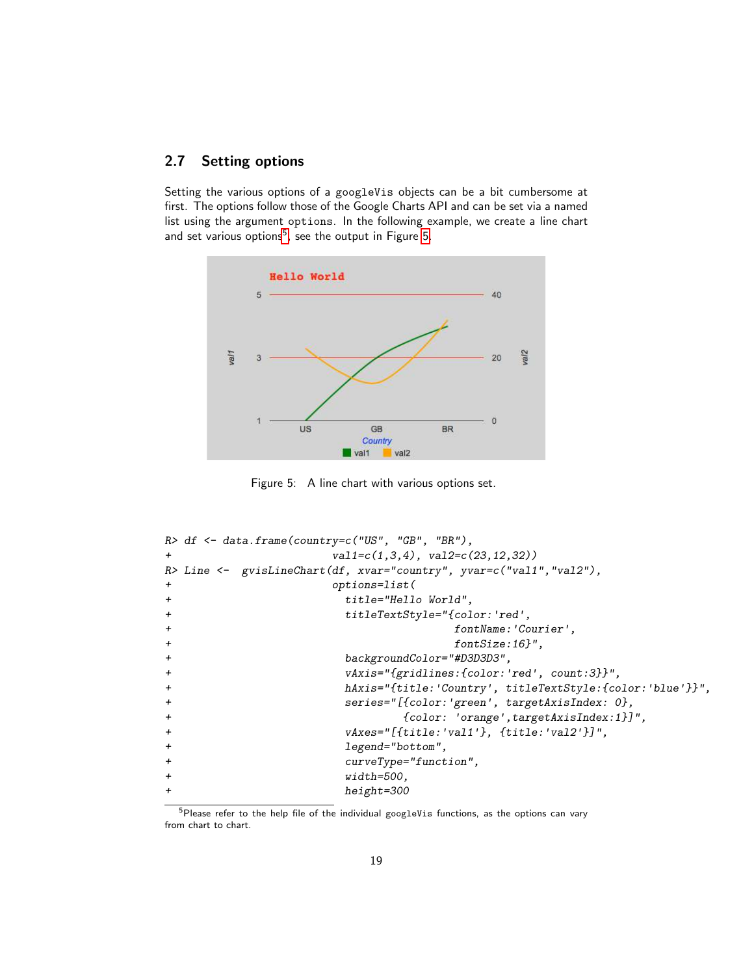### <span id="page-18-0"></span>2.7 Setting options

Setting the various options of a googleVis objects can be a bit cumbersome at first. The options follow those of the Google Charts API and can be set via a named list using the argument options. In the following example, we create a line chart and set various options<sup>[5](#page-18-1)</sup>, see the output in Figure [5.](#page-18-2)



<span id="page-18-2"></span>Figure 5: A line chart with various options set.

```
R> df <- data.frame(country=c("US", "GB", "BR"),
+ val1=c(1,3,4), val2=c(23,12,32))
R> Line <- gvisLineChart(df, xvar="country", yvar=c("val1","val2"),
+ options=list(
+ title="Hello World",
+ titleTextStyle="{color:'red',
+ fontName:'Courier',
                              + fontSize:16}",
                   + backgroundColor="#D3D3D3",
                   + vAxis="{gridlines:{color:'red', count:3}}",
+ hAxis="{title:'Country', titleTextStyle:{color:'blue'}}",
                   + series="[{color:'green', targetAxisIndex: 0},
                         + {color: 'orange',targetAxisIndex:1}]",
+ vAxes="[{title:'val1'}, {title:'val2'}]",
+ legend="bottom",
+ curveType="function",
+ width=500,
+ height=300
```
<span id="page-18-1"></span> $5P$ lease refer to the help file of the individual googleVis functions, as the options can vary from chart to chart.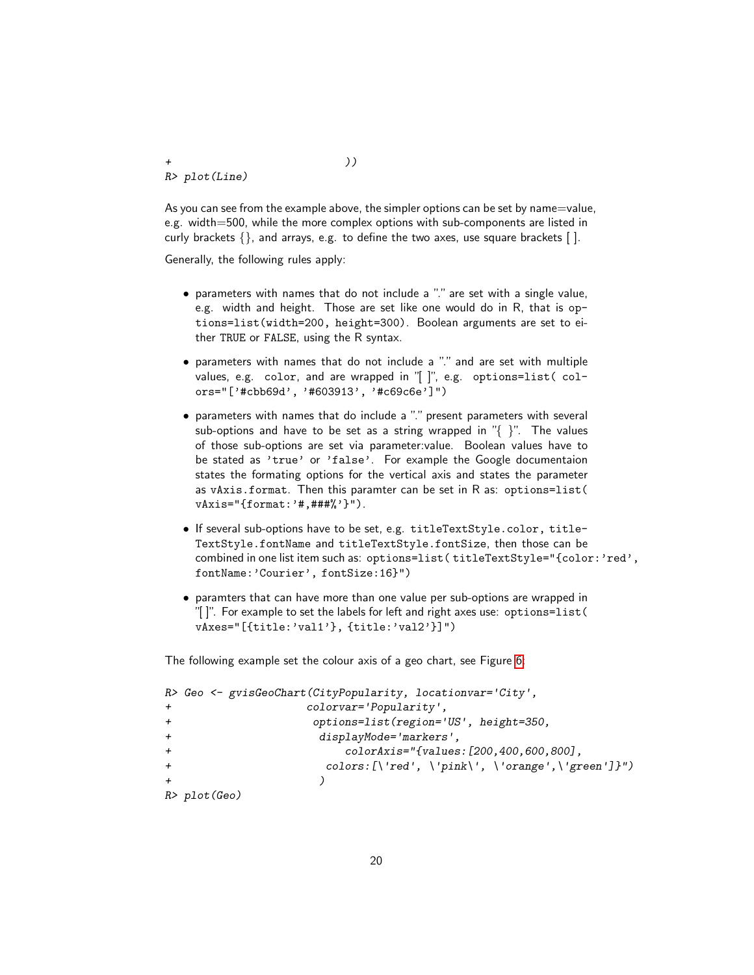*R> plot(Line)*

As you can see from the example above, the simpler options can be set by name=value, e.g. width=500, while the more complex options with sub-components are listed in curly brackets  $\{\}$ , and arrays, e.g. to define the two axes, use square brackets  $\lceil \cdot \rceil$ .

Generally, the following rules apply:

- parameters with names that do not include a "." are set with a single value, e.g. width and height. Those are set like one would do in R, that is options=list(width=200, height=300). Boolean arguments are set to either TRUE or FALSE, using the R syntax.
- parameters with names that do not include a "." and are set with multiple values, e.g. color, and are wrapped in "[ ]", e.g. options=list( colors="['#cbb69d', '#603913', '#c69c6e']")
- parameters with names that do include a "." present parameters with several sub-options and have to be set as a string wrapped in  $\mathbb{V}\{\cdot\}$ ". The values of those sub-options are set via parameter:value. Boolean values have to be stated as 'true' or 'false'. For example the Google documentaion states the formating options for the vertical axis and states the parameter as vAxis.format. Then this paramter can be set in R as: options=list( vAxis="{format:'#,###%'}").
- If several sub-options have to be set, e.g. titleTextStyle.color, title-TextStyle.fontName and titleTextStyle.fontSize, then those can be combined in one list item such as: options=list(titleTextStyle="{color:'red', fontName:'Courier', fontSize:16}")
- paramters that can have more than one value per sub-options are wrapped in "[ ]". For example to set the labels for left and right axes use: options=list( vAxes="[{title:'val1'}, {title:'val2'}]")

The following example set the colour axis of a geo chart, see Figure [6:](#page-20-2)

```
R> Geo <- gvisGeoChart(CityPopularity, locationvar='City',
+ colorvar='Popularity',
+ options=list(region='US', height=350,
+ displayMode='markers',
+ colorAxis="{values:[200,400,600,800],
+ colors:[\'red', \'pink\', \'orange',\'green']}")
+ )
R> plot(Geo)
```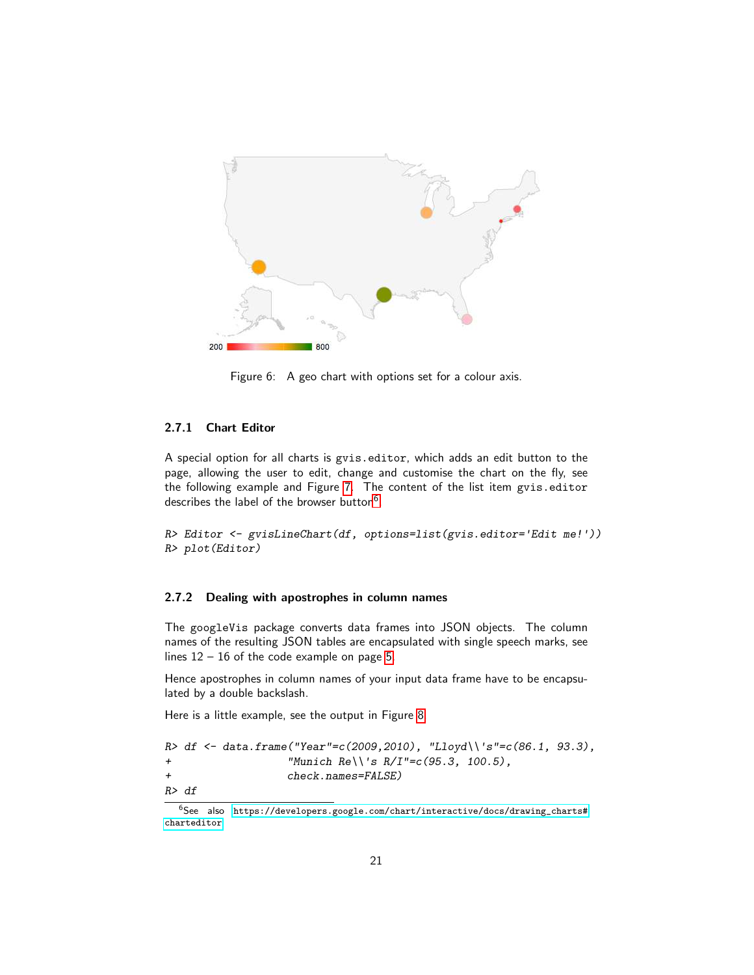

Figure 6: A geo chart with options set for a colour axis.

### <span id="page-20-2"></span><span id="page-20-0"></span>2.7.1 Chart Editor

A special option for all charts is gvis.editor, which adds an edit button to the page, allowing the user to edit, change and customise the chart on the fly, see the following example and Figure [7.](#page-21-2) The content of the list item gvis.editor describes the label of the browser button<sup>[6](#page-20-3)</sup>.

*R> Editor <- gvisLineChart(df, options=list(gvis.editor=*'*Edit me!*'*)) R> plot(Editor)*

#### <span id="page-20-1"></span>2.7.2 Dealing with apostrophes in column names

The googleVis package converts data frames into JSON objects. The column names of the resulting JSON tables are encapsulated with single speech marks, see lines  $12 - 16$  of the code example on page [5.](#page-3-2)

Hence apostrophes in column names of your input data frame have to be encapsulated by a double backslash.

Here is a little example, see the output in Figure [8.](#page-22-1)

|     |        | R> df <- data.frame("Year"=c(2009,2010), "Lloyd\\'s"=c(86.1, 93.3), |  |
|-----|--------|---------------------------------------------------------------------|--|
| $+$ |        | "Munich Re\\'s R/I"= $c(95.3, 100.5)$ .                             |  |
| $+$ |        | check.names=FALSE)                                                  |  |
|     | R > df |                                                                     |  |

<span id="page-20-3"></span> $^6$ See also [https://developers.google.com/chart/interactive/docs/drawing\\_charts#](https://developers.google.com/chart/interactive/docs/drawing_charts#charteditor) [charteditor](https://developers.google.com/chart/interactive/docs/drawing_charts#charteditor)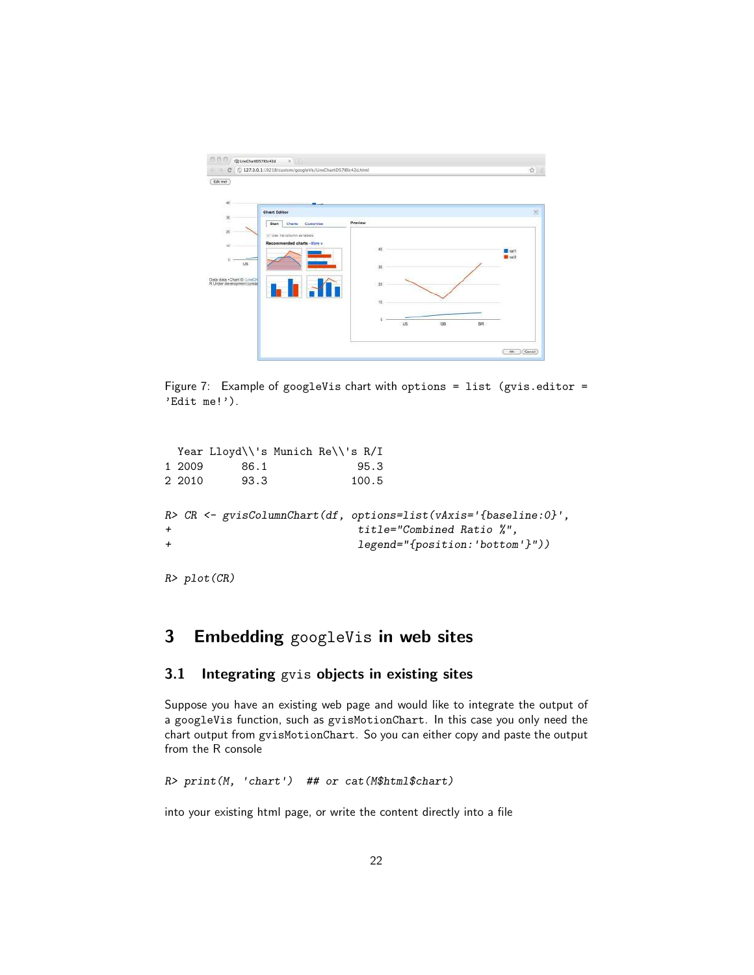|                                                              | C 327.0.0.1:19218/custom/googleVis/LineChartID5783c42d.html |                  | ☆                                  |
|--------------------------------------------------------------|-------------------------------------------------------------|------------------|------------------------------------|
| Edit met<br>$\frac{4}{3}$                                    | $m_{1.44}$                                                  |                  |                                    |
|                                                              | <b>Chart Editor</b>                                         |                  | 固                                  |
| 30                                                           | Charts<br>Customise<br><b>Start</b>                         | Preview          |                                    |
| $20\,$                                                       | U Use 1st column as labora                                  |                  |                                    |
| 10                                                           | Recommended charts - More >                                 |                  |                                    |
|                                                              |                                                             | 40               | Tiev <sup>E</sup><br><b>R</b> vat2 |
| ū<br>135                                                     |                                                             | 30               |                                    |
|                                                              |                                                             |                  |                                    |
| Data: data . Chart (3: UneCh)<br>R Under development (unstal |                                                             | 20               |                                    |
|                                                              |                                                             |                  |                                    |
|                                                              |                                                             | 50               |                                    |
|                                                              |                                                             | O.               |                                    |
|                                                              |                                                             | GB<br>BR.<br>US. |                                    |
|                                                              |                                                             |                  |                                    |

<span id="page-21-2"></span>Figure 7: Example of googleVis chart with options = list (gvis.editor = 'Edit me!').

```
Year Lloyd\\'s Munich Re\\'s R/I
1 2009 86.1 95.3
2 2010 93.3 100.5
R> CR <- gvisColumnChart(df, options=list(vAxis='{baseline:0}',
+ title="Combined Ratio %",
+ legend="{position:'bottom'}"))
```
*R> plot(CR)*

# <span id="page-21-0"></span>3 Embedding googleVis in web sites

### <span id="page-21-1"></span>3.1 Integrating gvis objects in existing sites

Suppose you have an existing web page and would like to integrate the output of a googleVis function, such as gvisMotionChart. In this case you only need the chart output from gvisMotionChart. So you can either copy and paste the output from the R console

*R> print(M,* '*chart*'*) ## or cat(M\$html\$chart)*

into your existing html page, or write the content directly into a file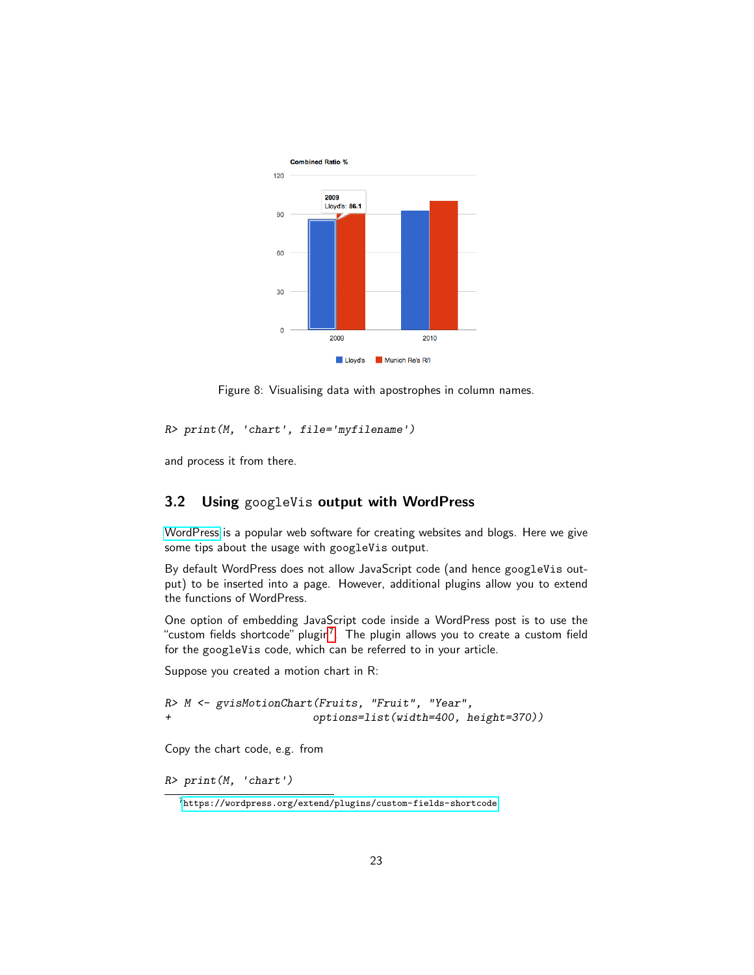

<span id="page-22-1"></span>Figure 8: Visualising data with apostrophes in column names.

*R> print(M,* '*chart*'*, file=*'*myfilename*'*)*

and process it from there.

### <span id="page-22-0"></span>3.2 Using googleVis output with WordPress

[WordPress](https://wordpress.org/) is a popular web software for creating websites and blogs. Here we give some tips about the usage with googleVis output.

By default WordPress does not allow JavaScript code (and hence googleVis output) to be inserted into a page. However, additional plugins allow you to extend the functions of WordPress.

One option of embedding JavaScript code inside a WordPress post is to use the "custom fields shortcode" plugin<sup>[7](#page-22-2)</sup>. The plugin allows you to create a custom field for the googleVis code, which can be referred to in your article.

Suppose you created a motion chart in R:

```
R> M <- gvisMotionChart(Fruits, "Fruit", "Year",
+ options=list(width=400, height=370))
```
Copy the chart code, e.g. from

*R> print(M,* '*chart*'*)*

<span id="page-22-2"></span><sup>7</sup><https://wordpress.org/extend/plugins/custom-fields-shortcode>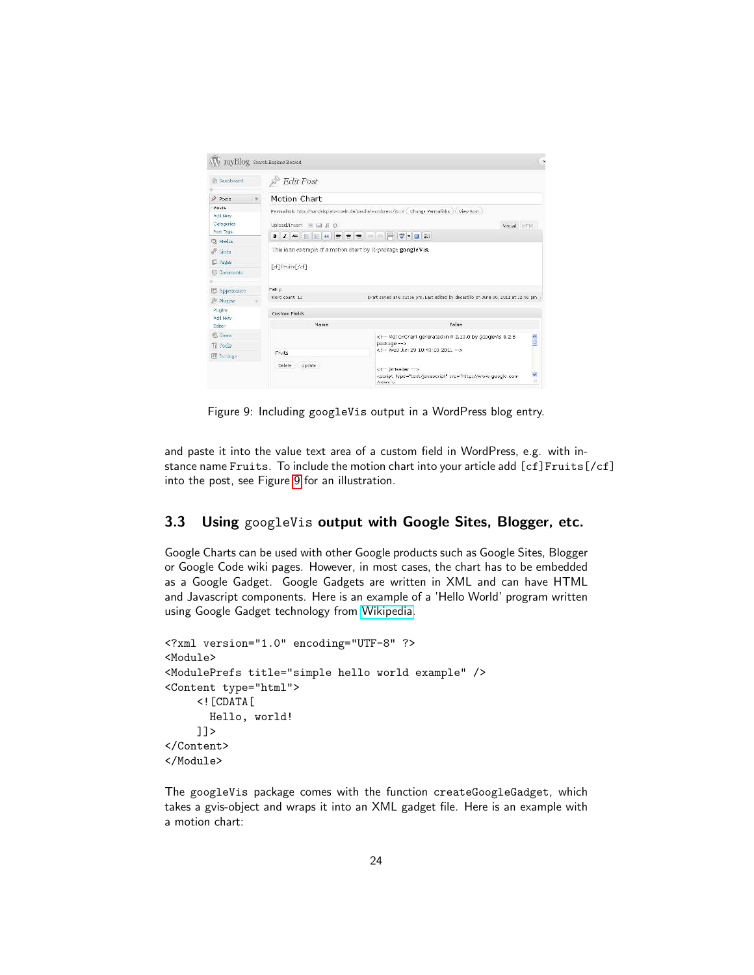

Figure 9: Including googleVis output in a WordPress blog entry.

<span id="page-23-1"></span>and paste it into the value text area of a custom field in WordPress, e.g. with instance name Fruits. To include the motion chart into your article add [cf]Fruits[/cf] into the post, see Figure [9](#page-23-1) for an illustration.

### <span id="page-23-0"></span>3.3 Using googleVis output with Google Sites, Blogger, etc.

Google Charts can be used with other Google products such as Google Sites, Blogger or Google Code wiki pages. However, in most cases, the chart has to be embedded as a Google Gadget. Google Gadgets are written in XML and can have HTML and Javascript components. Here is an example of a 'Hello World' program written using Google Gadget technology from [Wikipedia.](https://en.wikipedia.org/wiki/Google_Gadgets)

```
<?xml version="1.0" encoding="UTF-8" ?>
<Module>
<ModulePrefs title="simple hello world example" />
<Content type="html">
     <![CDATA[
       Hello, world!
     ]]>
</Content>
</Module>
```
The googleVis package comes with the function createGoogleGadget, which takes a gvis-object and wraps it into an XML gadget file. Here is an example with a motion chart: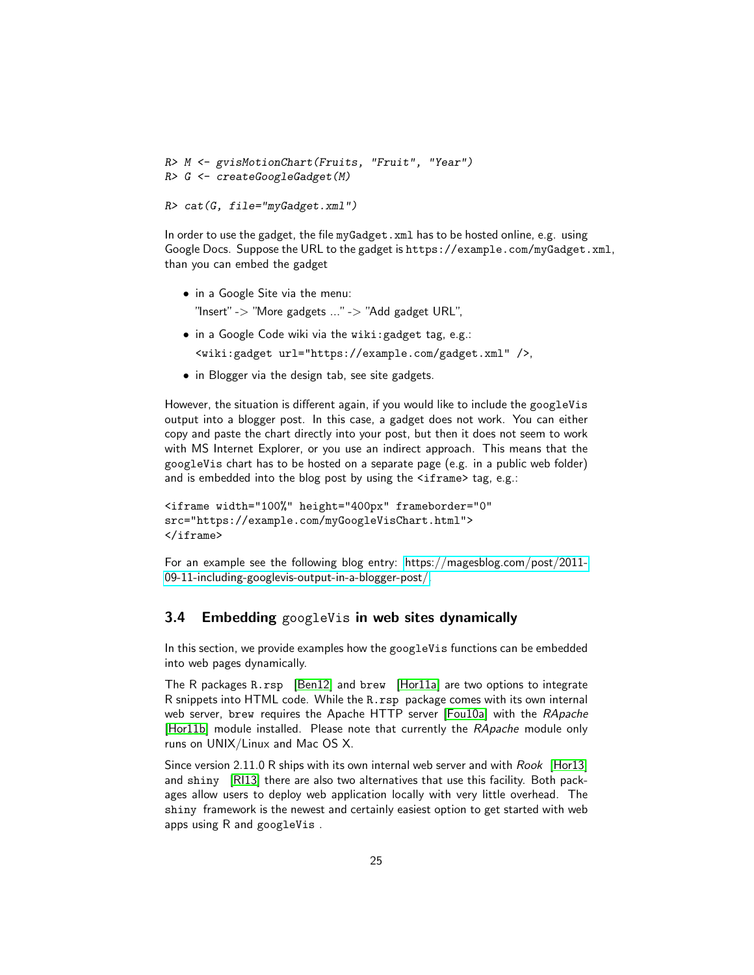```
R> M <- gvisMotionChart(Fruits, "Fruit", "Year")
R> G <- createGoogleGadget(M)
```
*R> cat(G, file="myGadget.xml")*

In order to use the gadget, the file myGadget.xml has to be hosted online, e.g. using Google Docs. Suppose the URL to the gadget is https://example.com/myGadget.xml, than you can embed the gadget

- in a Google Site via the menu: "Insert" -> "More gadgets ..." -> "Add gadget URL",
- in a Google Code wiki via the wiki:gadget tag, e.g.:

<wiki:gadget url="https://example.com/gadget.xml" />,

• in Blogger via the design tab, see site gadgets.

However, the situation is different again, if you would like to include the googleVis output into a blogger post. In this case, a gadget does not work. You can either copy and paste the chart directly into your post, but then it does not seem to work with MS Internet Explorer, or you use an indirect approach. This means that the googleVis chart has to be hosted on a separate page (e.g. in a public web folder) and is embedded into the blog post by using the <iframe> tag, e.g.:

```
<iframe width="100%" height="400px" frameborder="0"
src="https://example.com/myGoogleVisChart.html">
</iframe>
```
For an example see the following blog entry: [https://magesblog.com/post/2011-](https://magesblog.com/post/2011-09-11-including-googlevis-output-in-a-blogger-post/) [09-11-including-googlevis-output-in-a-blogger-post/.](https://magesblog.com/post/2011-09-11-including-googlevis-output-in-a-blogger-post/)

### <span id="page-24-0"></span>3.4 Embedding googleVis in web sites dynamically

In this section, we provide examples how the googleVis functions can be embedded into web pages dynamically.

The R packages R.rsp [\[Ben12\]](#page-37-5) and brew [\[Hor11a\]](#page-38-11) are two options to integrate R snippets into HTML code. While the R.rsp package comes with its own internal web server, brew requires the Apache HTTP server [\[Fou10a\]](#page-37-6) with the *RApache* [\[Hor11b\]](#page-38-12) module installed. Please note that currently the *RApache* module only runs on UNIX/Linux and Mac OS X.

Since version 2.11.0 R ships with its own internal web server and with *Rook* [\[Hor13\]](#page-38-13) and shiny [\[RI13\]](#page-38-14) there are also two alternatives that use this facility. Both packages allow users to deploy web application locally with very little overhead. The shiny framework is the newest and certainly easiest option to get started with web apps using R and googleVis .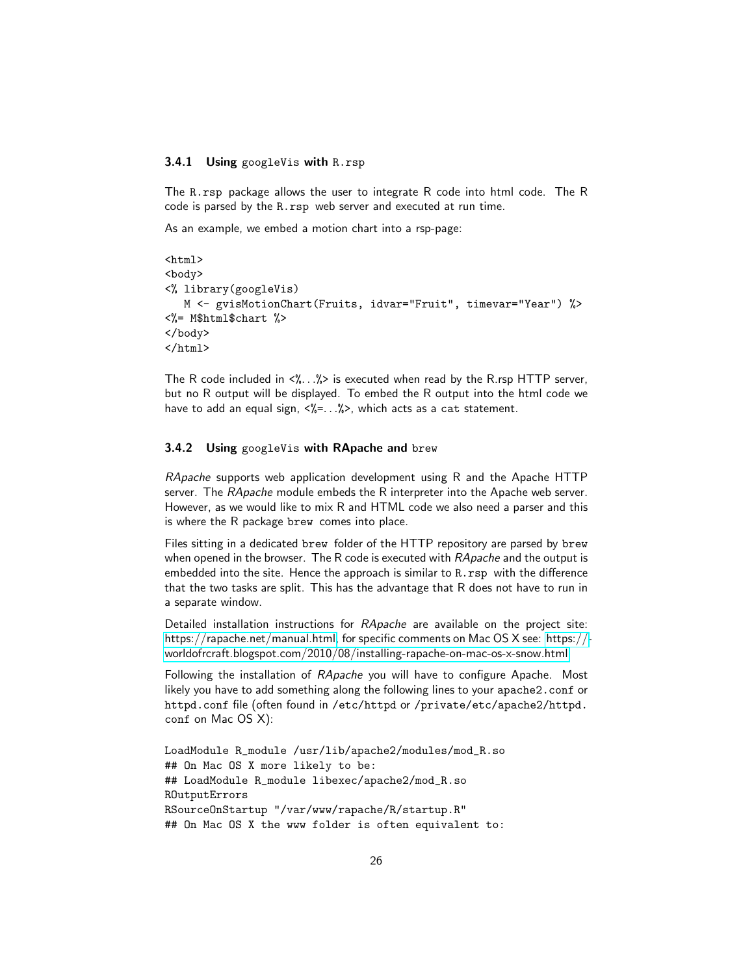#### <span id="page-25-0"></span>3.4.1 Using googleVis with R.rsp

The R.rsp package allows the user to integrate R code into html code. The R code is parsed by the R.rsp web server and executed at run time.

As an example, we embed a motion chart into a rsp-page:

```
\verb|html|<body>
<% library(googleVis)
   M <- gvisMotionChart(Fruits, idvar="Fruit", timevar="Year") %>
<%= M$html$chart %>
</body>
</html>
```
The R code included in  $\langle \cdot \rangle$ ... $\rangle$ > is executed when read by the R.rsp HTTP server, but no R output will be displayed. To embed the R output into the html code we have to add an equal sign,  $\langle\frac{p}{q}$  = . .  $\frac{p}{q}$ , which acts as a cat statement.

#### <span id="page-25-1"></span>3.4.2 Using googleVis with RApache and brew

*RApache* supports web application development using R and the Apache HTTP server. The *RApache* module embeds the R interpreter into the Apache web server. However, as we would like to mix R and HTML code we also need a parser and this is where the R package brew comes into place.

Files sitting in a dedicated brew folder of the HTTP repository are parsed by brew when opened in the browser. The R code is executed with *RApache* and the output is embedded into the site. Hence the approach is similar to R.rsp with the difference that the two tasks are split. This has the advantage that R does not have to run in a separate window.

Detailed installation instructions for *RApache* are available on the project site: [https://rapache.net/manual.html,](https://rapache.net/manual.html) for specific comments on Mac OS X see: [https://](https://worldofrcraft.blogspot.com/2010/08/installing-rapache-on-mac-os-x-snow.html) [worldofrcraft.blogspot.com/2010/08/installing-rapache-on-mac-os-x-snow.html](https://worldofrcraft.blogspot.com/2010/08/installing-rapache-on-mac-os-x-snow.html)

Following the installation of *RApache* you will have to configure Apache. Most likely you have to add something along the following lines to your apache2.conf or httpd.conf file (often found in /etc/httpd or /private/etc/apache2/httpd. conf on Mac OS X):

```
LoadModule R_module /usr/lib/apache2/modules/mod_R.so
## On Mac OS X more likely to be:
## LoadModule R_module libexec/apache2/mod_R.so
ROutputErrors
RSourceOnStartup "/var/www/rapache/R/startup.R"
## On Mac OS X the www folder is often equivalent to:
```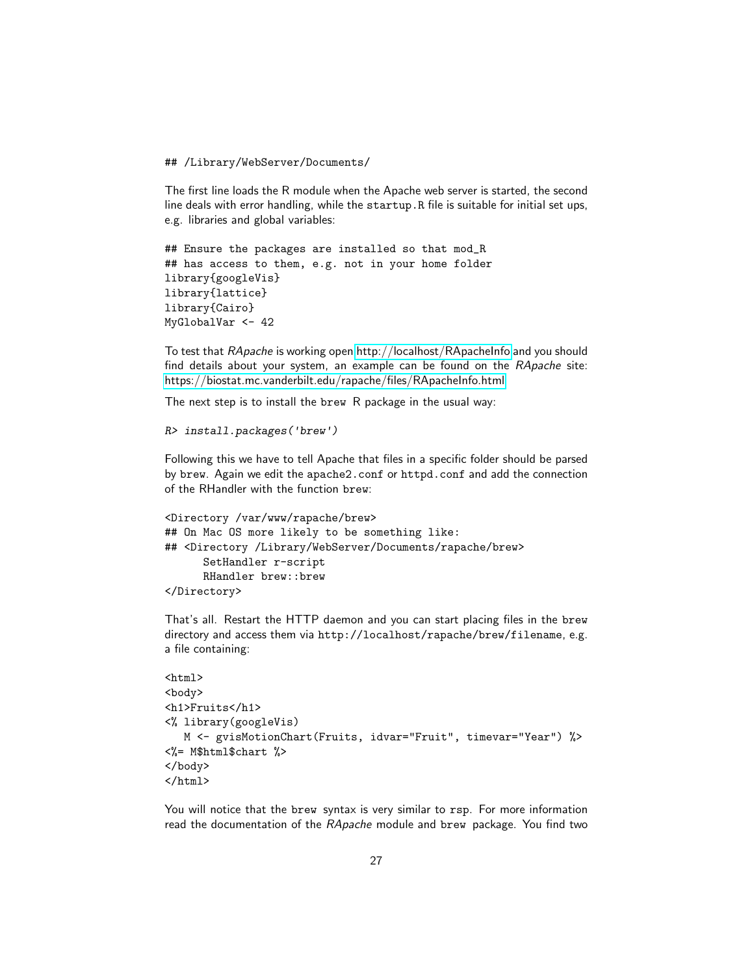## /Library/WebServer/Documents/

The first line loads the R module when the Apache web server is started, the second line deals with error handling, while the startup.R file is suitable for initial set ups, e.g. libraries and global variables:

```
## Ensure the packages are installed so that mod_R
## has access to them, e.g. not in your home folder
library{googleVis}
library{lattice}
library{Cairo}
MyGlobalVar <- 42
```
To test that *RApache* is working open<http://localhost/RApacheInfo> and you should find details about your system, an example can be found on the *RApache* site: <https://biostat.mc.vanderbilt.edu/rapache/files/RApacheInfo.html>

The next step is to install the brew R package in the usual way:

```
R> install.packages('brew')
```
Following this we have to tell Apache that files in a specific folder should be parsed by brew. Again we edit the apache2.conf or httpd.conf and add the connection of the RHandler with the function brew:

```
<Directory /var/www/rapache/brew>
## On Mac OS more likely to be something like:
## <Directory /Library/WebServer/Documents/rapache/brew>
      SetHandler r-script
      RHandler brew::brew
</Directory>
```
That's all. Restart the HTTP daemon and you can start placing files in the brew directory and access them via http://localhost/rapache/brew/filename, e.g. a file containing:

```
\hbox{\tt <html>>}<body>
<h1>Fruits</h1>
<% library(googleVis)
   M <- gvisMotionChart(Fruits, idvar="Fruit", timevar="Year") %>
<%= M$html$chart %>
</body>
</html>
```
You will notice that the brew syntax is very similar to rsp. For more information read the documentation of the *RApache* module and brew package. You find two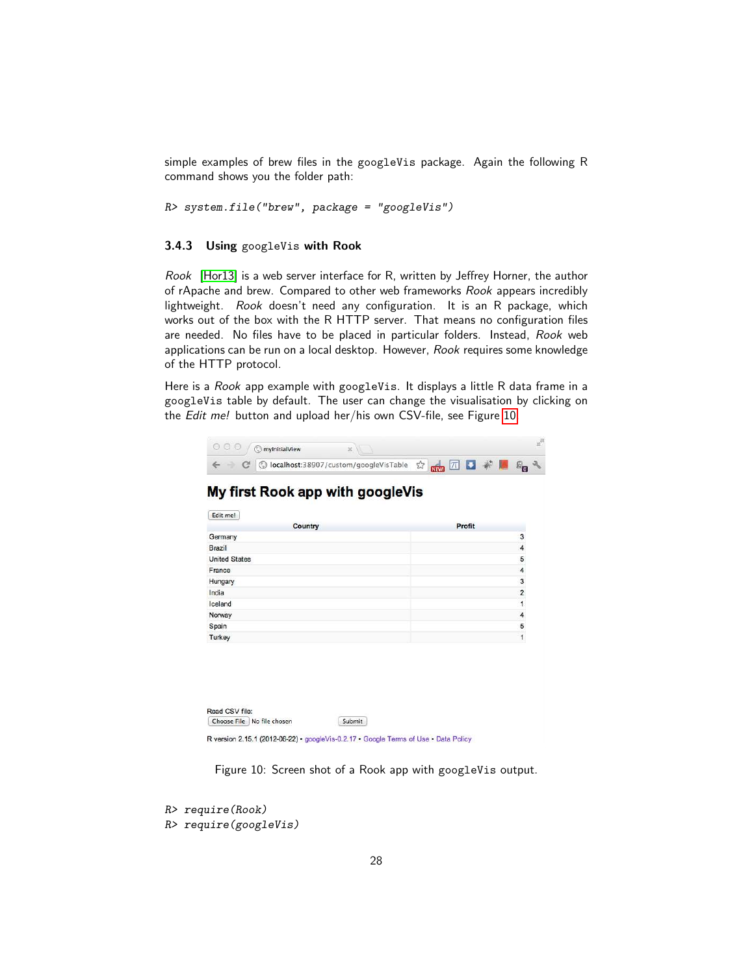simple examples of brew files in the googleVis package. Again the following R command shows you the folder path:

*R> system.file("brew", package = "googleVis")*

#### <span id="page-27-0"></span>3.4.3 Using googleVis with Rook

*Rook* [\[Hor13\]](#page-38-13) is a web server interface for R, written by Jeffrey Horner, the author of rApache and brew. Compared to other web frameworks *Rook* appears incredibly lightweight. *Rook* doesn't need any configuration. It is an R package, which works out of the box with the R HTTP server. That means no configuration files are needed. No files have to be placed in particular folders. Instead, *Rook* web applications can be run on a local desktop. However, *Rook* requires some knowledge of the HTTP protocol.

Here is a *Rook* app example with googleVis. It displays a little R data frame in a googleVis table by default. The user can change the visualisation by clicking on the *Edit me!* button and upload her/his own CSV-file, see Figure [10.](#page-27-1)

| $\circ$ $\circ$ $\circ$ $\circ$ $\circ$ mylnitialView  |  |  |  |
|--------------------------------------------------------|--|--|--|
| ○ ⊙ localhost:38907/custom/googleVisTable ☆ 隔日 了 # ■ ■ |  |  |  |

### My first Rook app with googleVis

| Edit me!             |                |
|----------------------|----------------|
| Country              | Profit         |
| Germany              | 3              |
| Brazil               | $\overline{4}$ |
| <b>United States</b> | 5              |
| France               | $\overline{4}$ |
| Hungary              | 3              |
| India                | $\overline{2}$ |
| Iceland              | $\mathbf{1}$   |
| Norway               | $\overline{4}$ |
| Spain                | 5              |
| Turkey               | 1              |
|                      |                |

|  | Choose File No file chosen | Submit |  |
|--|----------------------------|--------|--|
|--|----------------------------|--------|--|

R version 2.15.1 (2012-06-22) · googleVis-0.2.17 · Google Terms of Use · Data Policy

<span id="page-27-1"></span>Figure 10: Screen shot of a Rook app with googleVis output.

```
R> require(Rook)
R> require(googleVis)
```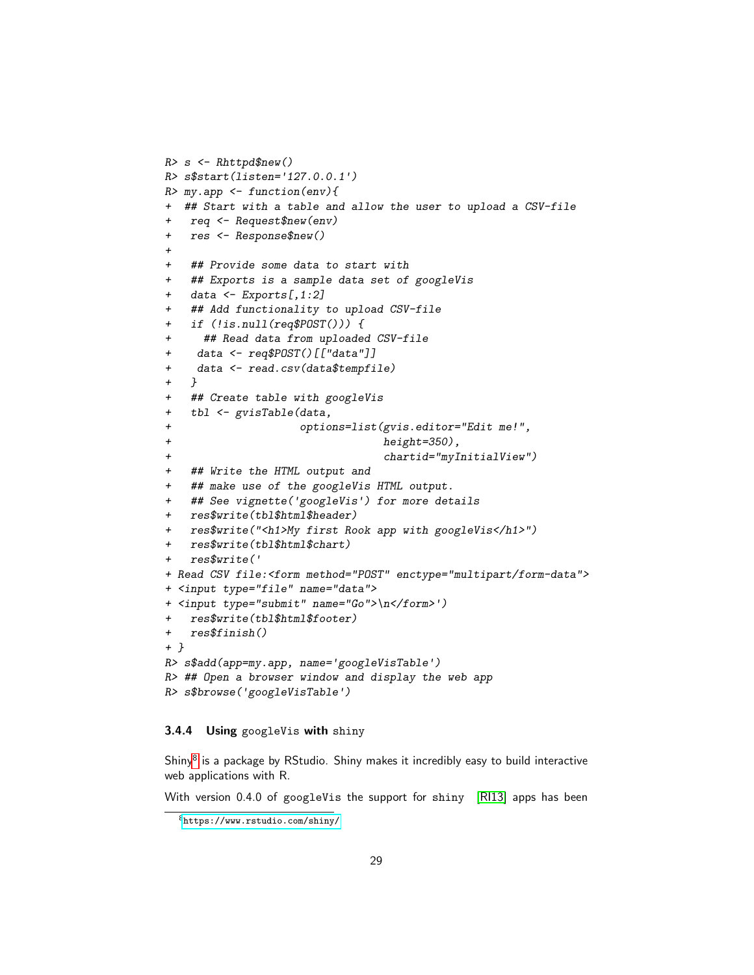```
R> s <- Rhttpd$new()
R> s$start(listen='127.0.0.1')
R> my.app <- function(env){
+ ## Start with a table and allow the user to upload a CSV-file
   + req <- Request$new(env)
+ res <- Response$new()
+
+ ## Provide some data to start with
   + ## Exports is a sample data set of googleVis
   + data <- Exports[,1:2]
   + ## Add functionality to upload CSV-file
   + if (!is.null(req$POST())) {
     + ## Read data from uploaded CSV-file
+ data <- req$POST()[["data"]]
+ data <- read.csv(data$tempfile)
+ }
+ ## Create table with googleVis
+ tbl <- gvisTable(data,
+ options=list(gvis.editor="Edit me!",
                                + height=350),
+ chartid="myInitialView")
+ ## Write the HTML output and
+ ## make use of the googleVis HTML output.
   + ## See vignette('googleVis') for more details
+ res$write(tbl$html$header)
  + res$write("<h1>My first Rook app with googleVis</h1>")
+ res$write(tbl$html$chart)
   + res$write('
+ Read CSV file:<form method="POST" enctype="multipart/form-data">
+ <input type="file" name="data">
+ <input type="submit" name="Go">\n</form>')
+ res$write(tbl$html$footer)
+ res$finish()
+ }
R> s$add(app=my.app, name='googleVisTable')
R> ## Open a browser window and display the web app
R> s$browse('googleVisTable')
```
### <span id="page-28-0"></span>3.4.4 Using googleVis with shiny

Shiny<sup>[8](#page-28-1)</sup> is a package by RStudio. Shiny makes it incredibly easy to build interactive web applications with R.

With version 0.4.0 of googleVis the support for shiny [\[RI13\]](#page-38-14) apps has been

<span id="page-28-1"></span><sup>8</sup><https://www.rstudio.com/shiny/>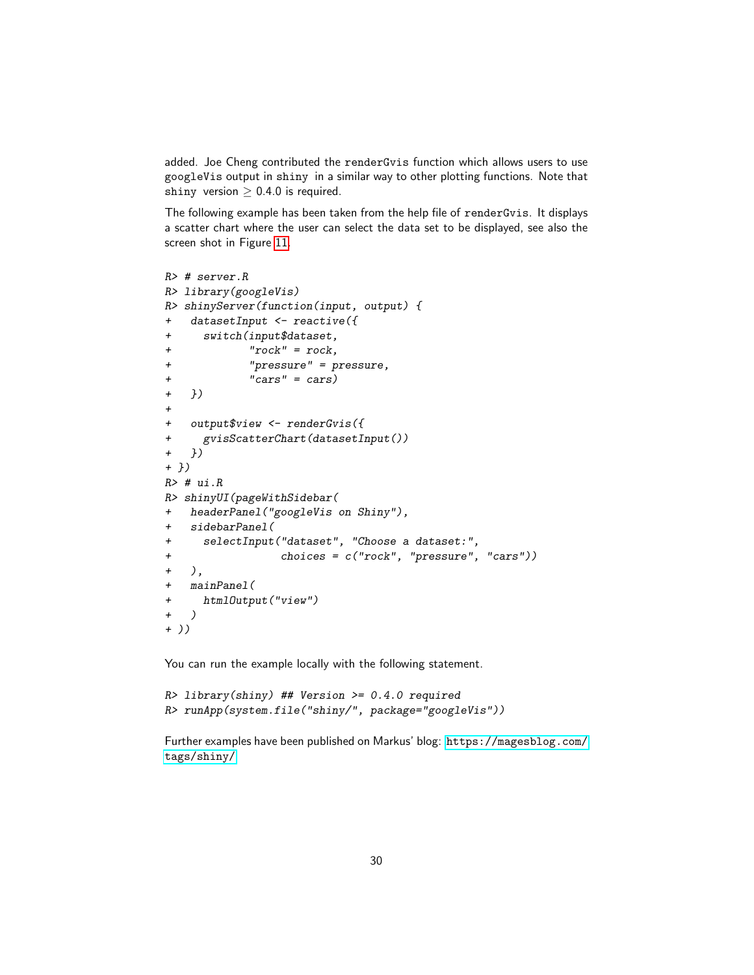added. Joe Cheng contributed the renderGvis function which allows users to use googleVis output in shiny in a similar way to other plotting functions. Note that shiny version  $\geq 0.4.0$  is required.

The following example has been taken from the help file of renderGvis. It displays a scatter chart where the user can select the data set to be displayed, see also the screen shot in Figure [11.](#page-30-1)

```
R> # server.R
R> library(googleVis)
R> shinyServer(function(input, output) {
+ datasetInput <- reactive({
+ switch(input$dataset,
+ "rock" = rock,
+ "pressure" = pressure,
+ "cars" = cars)
+ })
+
+ output$view <- renderGvis({
+ gvisScatterChart(datasetInput())
+ })
+ })
R> # ui.R
R> shinyUI(pageWithSidebar(
+ headerPanel("googleVis on Shiny"),
+ sidebarPanel(
+ selectInput("dataset", "Choose a dataset:",
+ choices = c("rock", "pressure", "cars"))
+ ),
+ mainPanel(
+ htmlOutput("view")
+ )
+ ))
```
You can run the example locally with the following statement.

```
R> library(shiny) ## Version >= 0.4.0 required
R> runApp(system.file("shiny/", package="googleVis"))
```
Further examples have been published on Markus' blog: [https://magesblog.com/](https://magesblog.com/tags/shiny/) [tags/shiny/](https://magesblog.com/tags/shiny/)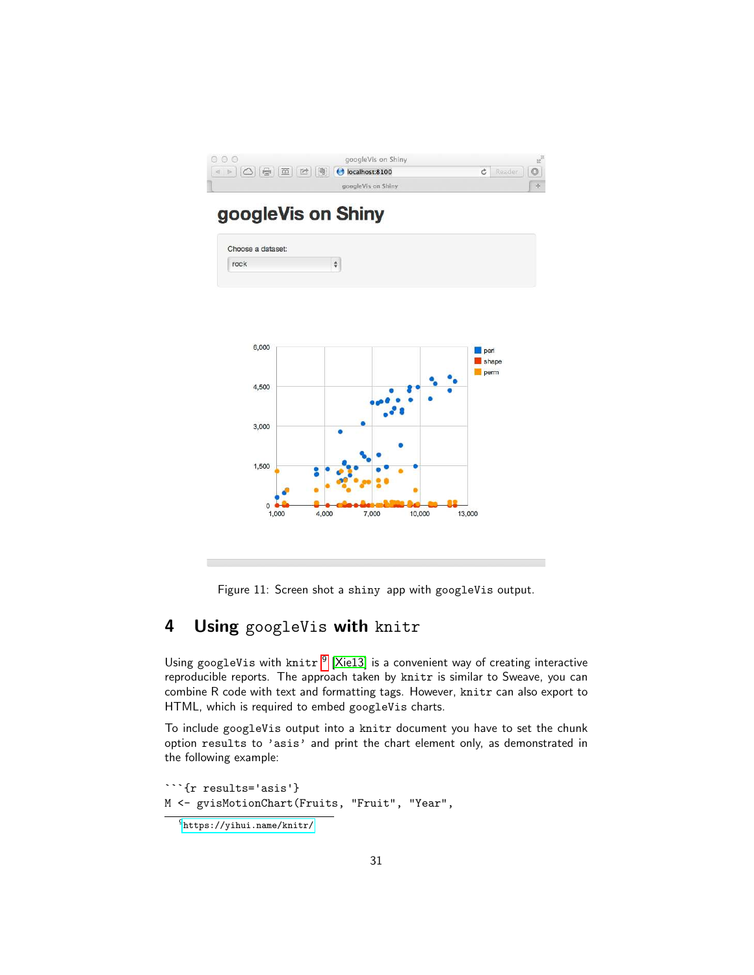| $\circ \circ \circ$                                                                                                                                             | googleVis on Shiny |            |  |
|-----------------------------------------------------------------------------------------------------------------------------------------------------------------|--------------------|------------|--|
| $\boxed{\triangleleft \Rightarrow \boxed{\triangle}}$ $\boxed{\triangle}$ $\boxed{\oplus}$ $\boxed{\boxtimes}$ $\boxed{\otimes}$ $\boxed{\odot}$ localhost:8100 |                    | Reader   0 |  |
|                                                                                                                                                                 | googleVis on Shiny |            |  |

# googleVis on Shiny





<span id="page-30-1"></span>Figure 11: Screen shot a shiny app with googleVis output.

# <span id="page-30-0"></span>4 Using googleVis with knitr

Using googleVis with  $k$ nitr  $^9$  $^9$  [\[Xie13\]](#page-39-1) is a convenient way of creating interactive reproducible reports. The approach taken by knitr is similar to Sweave, you can combine R code with text and formatting tags. However, knitr can also export to HTML, which is required to embed googleVis charts.

To include googleVis output into a knitr document you have to set the chunk option results to 'asis' and print the chart element only, as demonstrated in the following example:

```
```{r results='asis'}
M <- gvisMotionChart(Fruits, "Fruit", "Year",
```
<span id="page-30-2"></span><sup>9</sup><https://yihui.name/knitr/>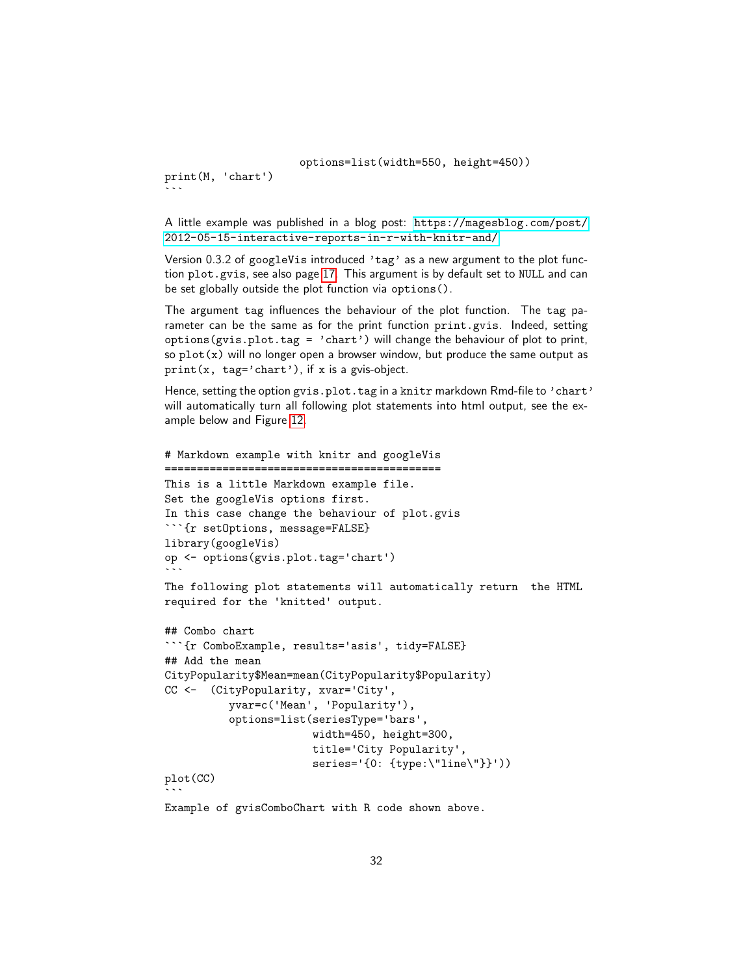options=list(width=550, height=450))

print(M, 'chart')  $\frac{1}{2}$ 

A little example was published in a blog post: [https://magesblog.com/post/](https://magesblog.com/post/2012-05-15-interactive-reports-in-r-with-knitr-and/) [2012-05-15-interactive-reports-in-r-with-knitr-and/](https://magesblog.com/post/2012-05-15-interactive-reports-in-r-with-knitr-and/)

Version 0.3.2 of googleVis introduced 'tag' as a new argument to the plot function plot.gvis, see also page [17.](#page-16-0) This argument is by default set to NULL and can be set globally outside the plot function via options().

The argument tag influences the behaviour of the plot function. The tag parameter can be the same as for the print function print.gvis. Indeed, setting options(gvis.plot.tag = 'chart') will change the behaviour of plot to print, so  $plot(x)$  will no longer open a browser window, but produce the same output as print(x, tag='chart'), if x is a gvis-object.

Hence, setting the option gvis.plot.tag in a knitr markdown Rmd-file to 'chart' will automatically turn all following plot statements into html output, see the example below and Figure [12.](#page-32-0)

```
# Markdown example with knitr and googleVis
===========================================
This is a little Markdown example file.
Set the googleVis options first.
In this case change the behaviour of plot.gvis
```{r setOptions, message=FALSE}
library(googleVis)
op <- options(gvis.plot.tag='chart')
\sqrt{2}The following plot statements will automatically return the HTML
required for the 'knitted' output.
## Combo chart
```

```
```{r ComboExample, results='asis', tidy=FALSE}
## Add the mean
CityPopularity$Mean=mean(CityPopularity$Popularity)
CC <- (CityPopularity, xvar='City',
          yvar=c('Mean', 'Popularity'),
          options=list(seriesType='bars',
                        width=450, height=300,
                        title='City Popularity',
                        series='{0: {type:\"line\"}}'))
plot(CC)
\frac{1}{2}Example of gvisComboChart with R code shown above.
```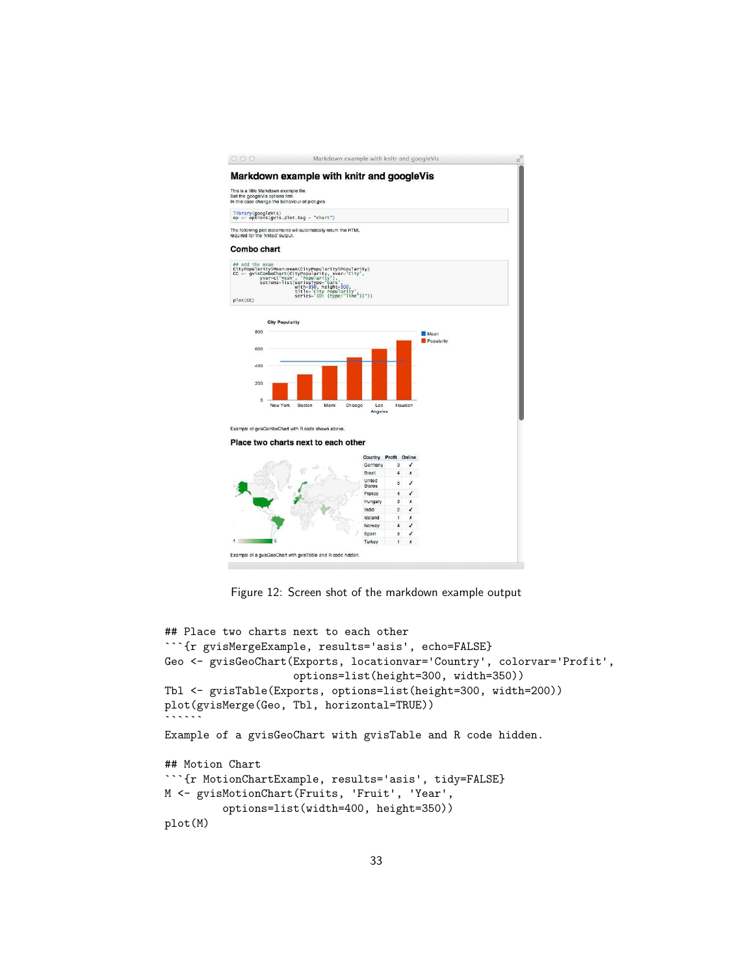

<span id="page-32-0"></span>Figure 12: Screen shot of the markdown example output

```
## Place two charts next to each other
```{r gvisMergeExample, results='asis', echo=FALSE}
Geo <- gvisGeoChart(Exports, locationvar='Country', colorvar='Profit',
                    options=list(height=300, width=350))
Tbl <- gvisTable(Exports, options=list(height=300, width=200))
plot(gvisMerge(Geo, Tbl, horizontal=TRUE))
\frac{1}{2}Example of a gvisGeoChart with gvisTable and R code hidden.
## Motion Chart
```{r MotionChartExample, results='asis', tidy=FALSE}
M <- gvisMotionChart(Fruits, 'Fruit', 'Year',
         options=list(width=400, height=350))
plot(M)
```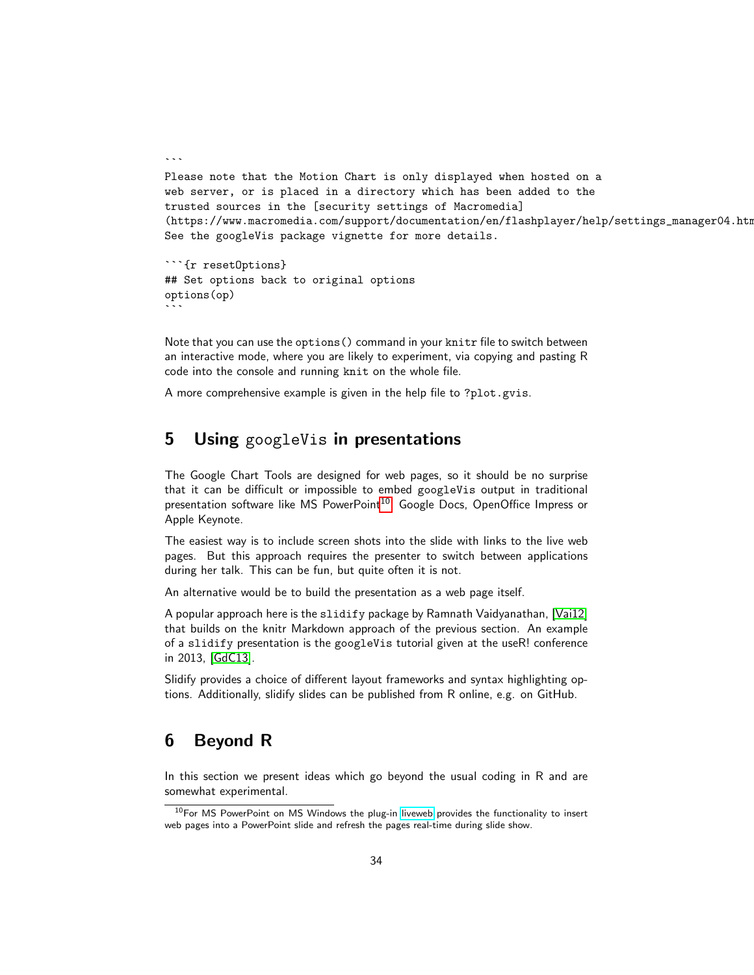```
Please note that the Motion Chart is only displayed when hosted on a
web server, or is placed in a directory which has been added to the
trusted sources in the [security settings of Macromedia]
(https://www.macromedia.com/support/documentation/en/flashplayer/help/settings_manager04.htm
See the googleVis package vignette for more details.
```

```
```{r resetOptions}
## Set options back to original options
options(op)
\sqrt{2}
```
 $\ddotsc$ 

Note that you can use the options() command in your knitr file to switch between an interactive mode, where you are likely to experiment, via copying and pasting R code into the console and running knit on the whole file.

A more comprehensive example is given in the help file to ?plot.gvis.

# <span id="page-33-0"></span>**5** Using googleVis in presentations

The Google Chart Tools are designed for web pages, so it should be no surprise that it can be difficult or impossible to embed googleVis output in traditional presentation software like MS PowerPoint<sup>[10](#page-33-2)</sup>, Google Docs, OpenOffice Impress or Apple Keynote.

The easiest way is to include screen shots into the slide with links to the live web pages. But this approach requires the presenter to switch between applications during her talk. This can be fun, but quite often it is not.

An alternative would be to build the presentation as a web page itself.

A popular approach here is the slidify package by Ramnath Vaidyanathan, [\[Vai12\]](#page-39-2) that builds on the knitr Markdown approach of the previous section. An example of a slidify presentation is the googleVis tutorial given at the useR! conference in 2013, [\[GdC13\]](#page-38-15).

Slidify provides a choice of different layout frameworks and syntax highlighting options. Additionally, slidify slides can be published from R online, e.g. on GitHub.

### <span id="page-33-1"></span>6 Beyond R

In this section we present ideas which go beyond the usual coding in R and are somewhat experimental.

<span id="page-33-2"></span> $10$  For MS PowerPoint on MS Windows the plug-in [liveweb](https://skp.mvps.org/liveweb.htm) provides the functionality to insert web pages into a PowerPoint slide and refresh the pages real-time during slide show.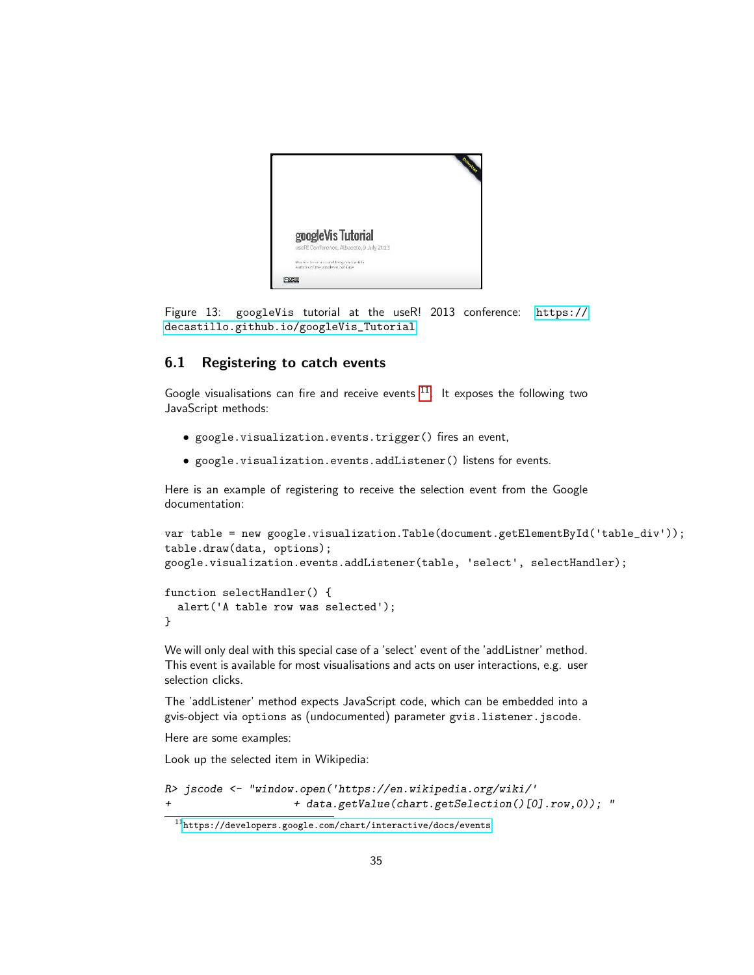

Figure 13: googleVis tutorial at the useR! 2013 conference: [https://](https://decastillo.github.io/googleVis_Tutorial) [decastillo.github.io/googleVis\\_Tutorial](https://decastillo.github.io/googleVis_Tutorial)

### <span id="page-34-0"></span>6.1 Registering to catch events

Google visualisations can fire and receive events  $11$ . It exposes the following two JavaScript methods:

- google.visualization.events.trigger() fires an event,
- google.visualization.events.addListener() listens for events.

Here is an example of registering to receive the selection event from the Google documentation:

```
var table = new google.visualization.Table(document.getElementById('table_div'));
table.draw(data, options);
google.visualization.events.addListener(table, 'select', selectHandler);
```

```
function selectHandler() {
  alert('A table row was selected');
}
```
We will only deal with this special case of a 'select' event of the 'addListner' method. This event is available for most visualisations and acts on user interactions, e.g. user selection clicks.

The 'addListener' method expects JavaScript code, which can be embedded into a gvis-object via options as (undocumented) parameter gvis.listener.jscode.

Here are some examples:

Look up the selected item in Wikipedia:

```
R> jscode <- "window.open('https://en.wikipedia.org/wiki/'
                    + + data.getValue(chart.getSelection()[0].row,0)); "
```
<span id="page-34-1"></span> $^{\rm 11}$  <br><https://developers.google.com/chart/interactive/docs/events>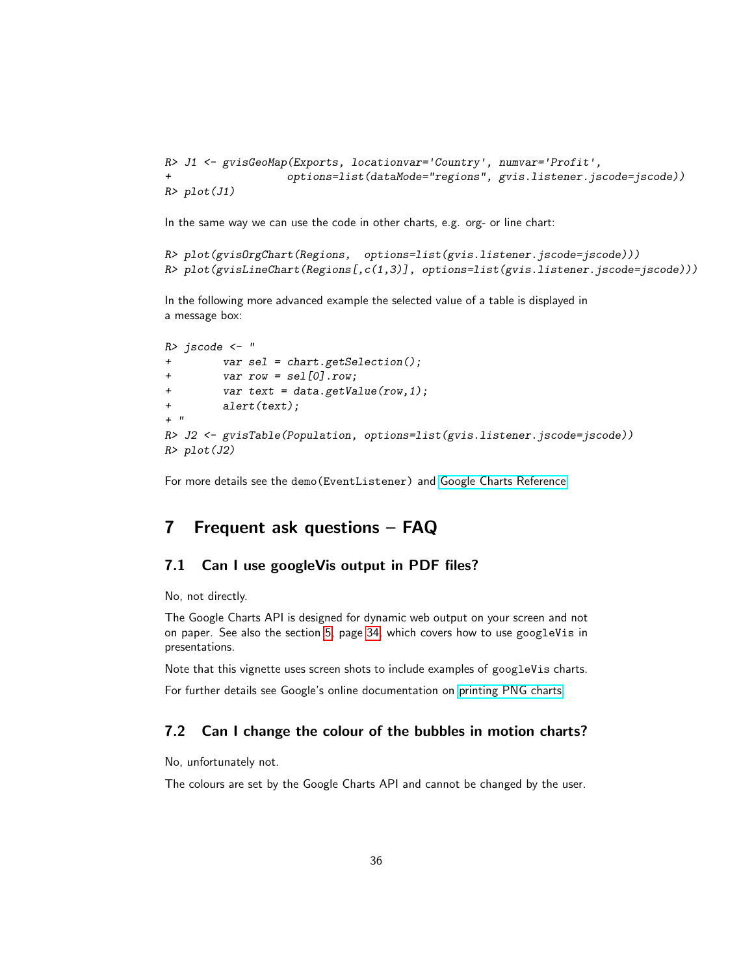```
R> J1 <- gvisGeoMap(Exports, locationvar='Country', numvar='Profit',
                   + options=list(dataMode="regions", gvis.listener.jscode=jscode))
R> plot(J1)
```
In the same way we can use the code in other charts, e.g. org- or line chart:

```
R> plot(gvisOrgChart(Regions, options=list(gvis.listener.jscode=jscode)))
R> plot(gvisLineChart(Regions[,c(1,3)], options=list(gvis.listener.jscode=jscode)))
```
In the following more advanced example the selected value of a table is displayed in a message box:

```
R> jscode <- "
+ var sel = chart.getSelection();
+ var row = sel[0].row;
+ var text = data.getValue(row,1);
        + alert(text);
+ "
R> J2 <- gvisTable(Population, options=list(gvis.listener.jscode=jscode))
R> plot(J2)
```
For more details see the demo(EventListener) and [Google Charts Reference.](https://developers.google.com/chart/interactive/docs/reference)

### <span id="page-35-0"></span>7 Frequent ask questions – FAQ

### <span id="page-35-1"></span>7.1 Can I use googleVis output in PDF files?

No, not directly.

The Google Charts API is designed for dynamic web output on your screen and not on paper. See also the section [5,](#page-33-0) page [34,](#page-33-0) which covers how to use googleVis in presentations.

Note that this vignette uses screen shots to include examples of googleVis charts.

For further details see Google's online documentation on [printing PNG charts.](https://developers.google.com/chart/interactive/docs/printing)

### <span id="page-35-2"></span>7.2 Can I change the colour of the bubbles in motion charts?

No, unfortunately not.

The colours are set by the Google Charts API and cannot be changed by the user.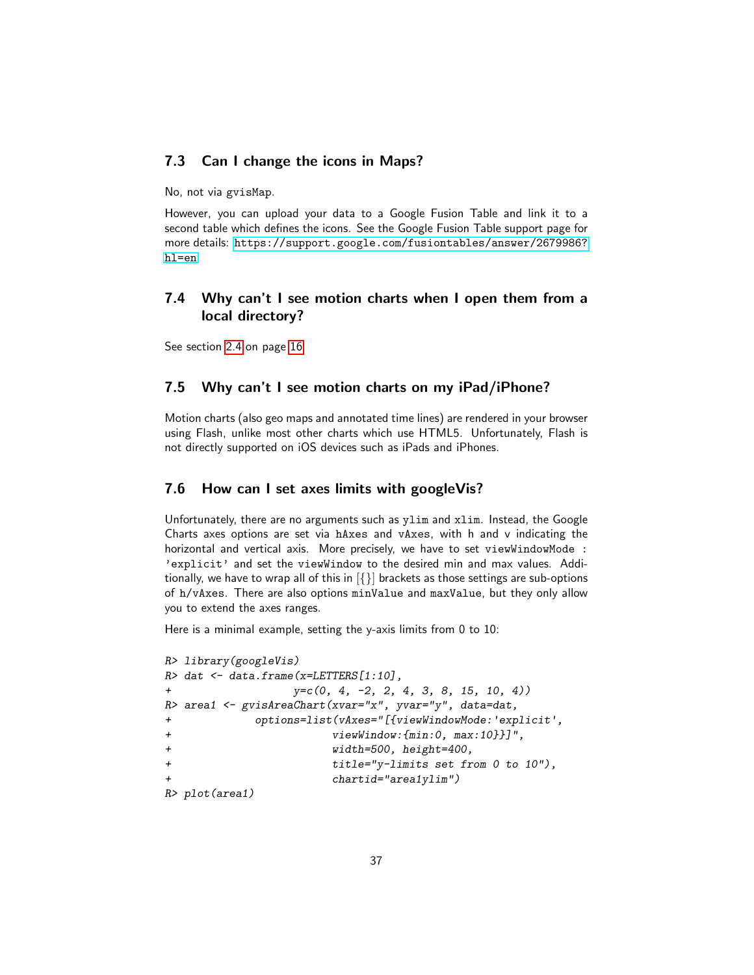### <span id="page-36-0"></span>7.3 Can I change the icons in Maps?

No, not via gvisMap.

However, you can upload your data to a Google Fusion Table and link it to a second table which defines the icons. See the Google Fusion Table support page for more details: [https://support.google.com/fusiontables/answer/2679986?](https://support.google.com/fusiontables/answer/2679986?hl=en) [hl=en](https://support.google.com/fusiontables/answer/2679986?hl=en)

### <span id="page-36-1"></span>7.4 Why can't I see motion charts when I open them from a local directory?

See section [2.4](#page-15-0) on page [16](#page-15-0)

### <span id="page-36-2"></span>7.5 Why can't I see motion charts on my iPad/iPhone?

Motion charts (also geo maps and annotated time lines) are rendered in your browser using Flash, unlike most other charts which use HTML5. Unfortunately, Flash is not directly supported on iOS devices such as iPads and iPhones.

### <span id="page-36-3"></span>7.6 How can I set axes limits with googleVis?

Unfortunately, there are no arguments such as ylim and xlim. Instead, the Google Charts axes options are set via hAxes and vAxes, with h and v indicating the horizontal and vertical axis. More precisely, we have to set viewWindowMode : 'explicit' and set the viewWindow to the desired min and max values. Additionally, we have to wrap all of this in  $\{\}\}$  brackets as those settings are sub-options of h/vAxes. There are also options minValue and maxValue, but they only allow you to extend the axes ranges.

Here is a minimal example, setting the y-axis limits from 0 to 10:

```
R> library(googleVis)
R> dat <- data.frame(x=LETTERS[1:10],
+ y=c(0, 4, -2, 2, 4, 3, 8, 15, 10, 4))
R> area1 <- gvisAreaChart(xvar="x", yvar="y", data=dat,
+ options=list(vAxes="[{viewWindowMode:'explicit',
+ viewWindow:{min:0, max:10}}]",
+ width=500, height=400,
+ title="y-limits set from 0 to 10"),
                    + chartid="area1ylim")
R> plot(area1)
```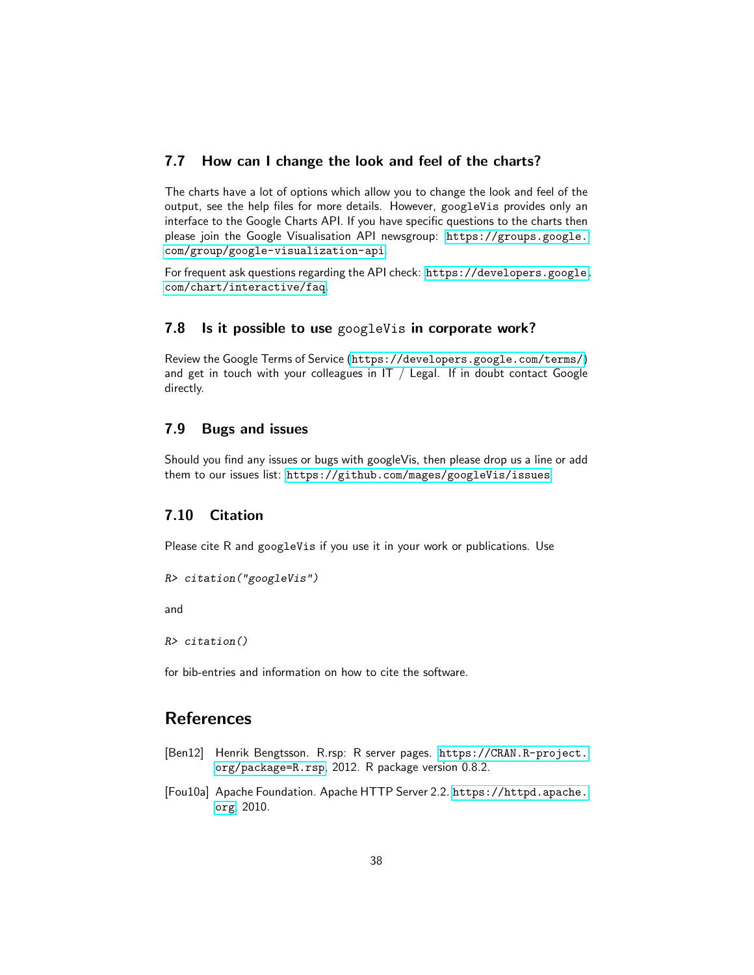### <span id="page-37-0"></span>7.7 How can I change the look and feel of the charts?

The charts have a lot of options which allow you to change the look and feel of the output, see the help files for more details. However, googleVis provides only an interface to the Google Charts API. If you have specific questions to the charts then please join the Google Visualisation API newsgroup: [https://groups.google.](https://groups.google.com/group/google-visualization-api) [com/group/google-visualization-api](https://groups.google.com/group/google-visualization-api).

For frequent ask questions regarding the API check: [https://developers.google.](https://developers.google.com/chart/interactive/faq) [com/chart/interactive/faq](https://developers.google.com/chart/interactive/faq).

#### <span id="page-37-1"></span>7.8 Is it possible to use googleVis in corporate work?

Review the Google Terms of Service (<https://developers.google.com/terms/>) and get in touch with your colleagues in  $IT / Legal$ . If in doubt contact Google directly.

#### <span id="page-37-2"></span>7.9 Bugs and issues

Should you find any issues or bugs with googleVis, then please drop us a line or add them to our issues list: <https://github.com/mages/googleVis/issues>

### <span id="page-37-3"></span>7.10 Citation

Please cite R and googleVis if you use it in your work or publications. Use

```
R> citation("googleVis")
```
and

*R> citation()*

for bib-entries and information on how to cite the software.

## <span id="page-37-4"></span>References

- <span id="page-37-5"></span>[Ben12] Henrik Bengtsson. R.rsp: R server pages. [https://CRAN.R-project.](https://CRAN.R-project.org/package=R.rsp) [org/package=R.rsp](https://CRAN.R-project.org/package=R.rsp), 2012. R package version 0.8.2.
- <span id="page-37-6"></span>[Fou10a] Apache Foundation. Apache HTTP Server 2.2. [https://httpd.apache.](https://httpd.apache.org) [org](https://httpd.apache.org), 2010.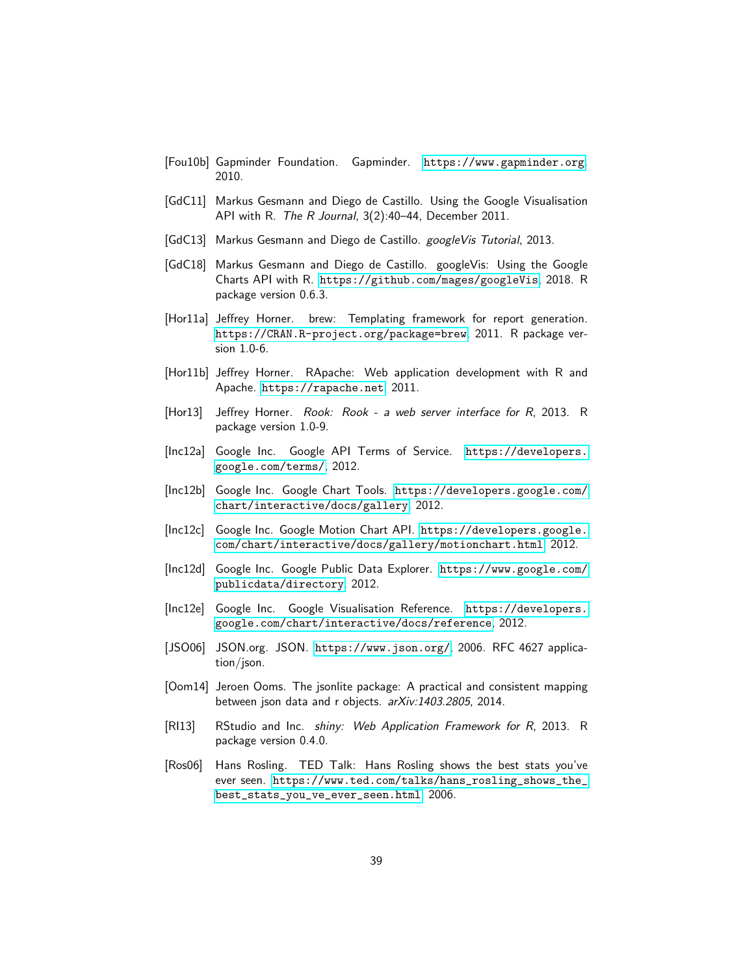- <span id="page-38-1"></span>[Fou10b] Gapminder Foundation. Gapminder. <https://www.gapminder.org>, 2010.
- <span id="page-38-4"></span>[GdC11] Markus Gesmann and Diego de Castillo. Using the Google Visualisation API with R. *The R Journal*, 3(2):40–44, December 2011.
- <span id="page-38-15"></span>[GdC13] Markus Gesmann and Diego de Castillo. *googleVis Tutorial*, 2013.
- <span id="page-38-3"></span>[GdC18] Markus Gesmann and Diego de Castillo. googleVis: Using the Google Charts API with R. <https://github.com/mages/googleVis>, 2018. R package version 0.6.3.
- <span id="page-38-11"></span>[Hor11a] Jeffrey Horner. brew: Templating framework for report generation. <https://CRAN.R-project.org/package=brew>, 2011. R package version 1.0-6.
- <span id="page-38-12"></span>[Hor11b] Jeffrey Horner. RApache: Web application development with R and Apache. <https://rapache.net>, 2011.
- <span id="page-38-13"></span>[Hor13] Jeffrey Horner. *Rook: Rook - a web server interface for R*, 2013. R package version 1.0-9.
- <span id="page-38-10"></span>[Inc12a] Google Inc. Google API Terms of Service. [https://developers.](https://developers.google.com/terms/) [google.com/terms/](https://developers.google.com/terms/), 2012.
- <span id="page-38-2"></span>[Inc12b] Google Inc. Google Chart Tools. [https://developers.google.com/](https://developers.google.com/chart/interactive/docs/gallery) [chart/interactive/docs/gallery](https://developers.google.com/chart/interactive/docs/gallery), 2012.
- <span id="page-38-9"></span>[Inc12c] Google Inc. Google Motion Chart API. [https://developers.google.](https://developers.google.com/chart/interactive/docs/gallery/motionchart.html) [com/chart/interactive/docs/gallery/motionchart.html](https://developers.google.com/chart/interactive/docs/gallery/motionchart.html), 2012.
- <span id="page-38-5"></span>[Inc12d] Google Inc. Google Public Data Explorer. [https://www.google.com/](https://www.google.com/publicdata/directory) [publicdata/directory](https://www.google.com/publicdata/directory), 2012.
- <span id="page-38-6"></span>[Inc12e] Google Inc. Google Visualisation Reference. [https://developers.](https://developers.google.com/chart/interactive/docs/reference) [google.com/chart/interactive/docs/reference](https://developers.google.com/chart/interactive/docs/reference), 2012.
- <span id="page-38-7"></span>[JSO06] JSON.org. JSON. <https://www.json.org/>, 2006. RFC 4627 application/json.
- <span id="page-38-8"></span>[Oom14] Jeroen Ooms. The jsonlite package: A practical and consistent mapping between json data and r objects. *arXiv:1403.2805*, 2014.
- <span id="page-38-14"></span>[RI13] RStudio and Inc. *shiny: Web Application Framework for R*, 2013. R package version 0.4.0.
- <span id="page-38-0"></span>[Ros06] Hans Rosling. TED Talk: Hans Rosling shows the best stats you've ever seen. [https://www.ted.com/talks/hans\\_rosling\\_shows\\_the\\_](https://www.ted.com/talks/hans_rosling_shows_the_best_stats_you_ve_ever_seen.html) [best\\_stats\\_you\\_ve\\_ever\\_seen.html](https://www.ted.com/talks/hans_rosling_shows_the_best_stats_you_ve_ever_seen.html), 2006.